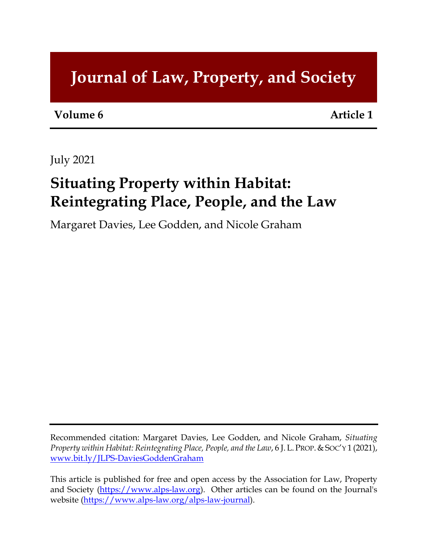# **Journal of Law, Property, and Society**

**Volume 6 Article 1**

July 2021

# **Situating Property within Habitat: Reintegrating Place, People, and the Law**

Margaret Davies, Lee Godden, and Nicole Graham

Recommended citation: Margaret Davies, Lee Godden, and Nicole Graham, *Situating Property within Habitat: Reintegrating Place, People, and the Law*, 6 J.L.PROP.&SOC'Y 1 (2021), [www.bit.ly/JLPS-D](http://www.bit.ly/JLPS-)aviesGoddenGraham

This article is published for free and open access by the Association for Law, Property and Society [\(https://www.alps-law.org\)](https://www.alps-law.org/). Other articles can be found on the Journal's website [\(https://www.alps-law.org/alps-law-journal\)](https://www.alps-law.org/alps-law-journal).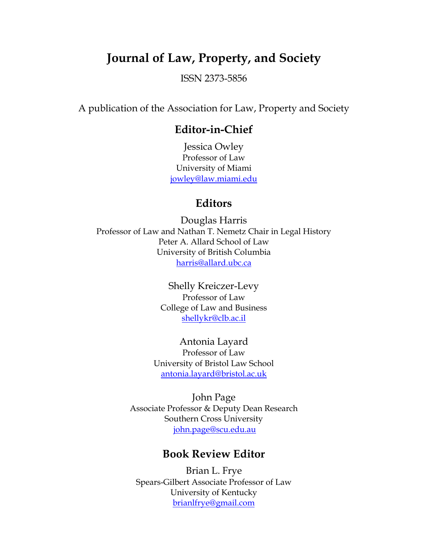## **Journal of Law, Property, and Society**

ISSN 2373-5856

A publication of the Association for Law, Property and Society

#### **Editor-in-Chief**

Jessica Owley Professor of Law University of Miami [jowley@law.miami.edu](mailto:jowley@law.miami.edu)

### **Editors**

Douglas Harris Professor of Law and Nathan T. Nemetz Chair in Legal History Peter A. Allard School of Law University of British Columbia [harris@allard.ubc.ca](mailto:harris@allard.ubc.ca)

> Shelly Kreiczer-Levy Professor of Law College of Law and Business [shellykr@clb.ac.il](mailto:shellykr@clb.ac.il)

Antonia Layard Professor of Law University of Bristol Law School [antonia.layard@bristol.ac.uk](mailto:antonia.layard@bristol.ac.uk)

John Page Associate Professor & Deputy Dean Research Southern Cross University [john.page@scu.edu.au](mailto:john.page@scu.edu.au)

#### **Book Review Editor**

Brian L. Frye Spears-Gilbert Associate Professor of Law University of Kentucky [brianlfrye@gmail.com](mailto:brianlfrye@gmail.com)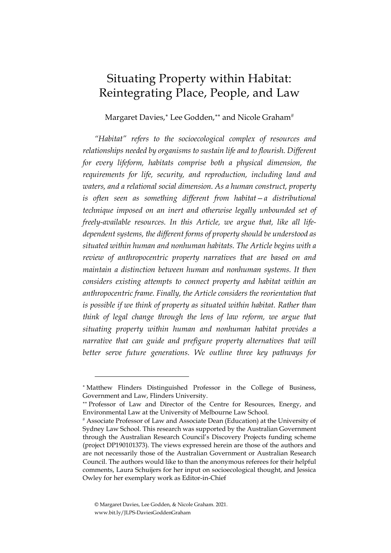## Situating Property within Habitat: Reintegrating Place, People, and Law

Margaret Davies,<sup>\*</sup> Lee Godden,<sup>\*\*</sup> and Nicole Graham<sup>[#](#page-2-2)</sup>

*"Habitat" refers to the socioecological complex of resources and relationships needed by organisms to sustain life and to flourish. Different for every lifeform, habitats comprise both a physical dimension, the requirements for life, security, and reproduction, including land and waters, and a relational social dimension. As a human construct, property is often seen as something different from habitat—a distributional technique imposed on an inert and otherwise legally unbounded set of freely-available resources. In this Article, we argue that, like all lifedependent systems, the different forms of property should be understood as situated within human and nonhuman habitats. The Article begins with a review of anthropocentric property narratives that are based on and maintain a distinction between human and nonhuman systems. It then considers existing attempts to connect property and habitat within an anthropocentric frame. Finally, the Article considers the reorientation that is possible if we think of property as situated within habitat. Rather than think of legal change through the lens of law reform, we argue that situating property within human and nonhuman habitat provides a narrative that can guide and prefigure property alternatives that will better serve future generations. We outline three key pathways for* 

<span id="page-2-0"></span><sup>∗</sup> Matthew Flinders Distinguished Professor in the College of Business, Government and Law, Flinders University.

<span id="page-2-1"></span><sup>∗∗</sup> Professor of Law and Director of the Centre for Resources, Energy, and Environmental Law at the University of Melbourne Law School.

<span id="page-2-2"></span><sup>#</sup> Associate Professor of Law and Associate Dean (Education) at the University of Sydney Law School. This research was supported by the Australian Government through the Australian Research Council's Discovery Projects funding scheme (project DP190101373). The views expressed herein are those of the authors and are not necessarily those of the Australian Government or Australian Research Council. The authors would like to than the anonymous referees for their helpful comments, Laura Schuijers for her input on socioecological thought, and Jessica Owley for her exemplary work as Editor-in-Chief

<sup>©</sup> Margaret Davies, Lee Godden, & Nicole Graham. 2021. www.bit.ly/JLPS-DaviesGoddenGraham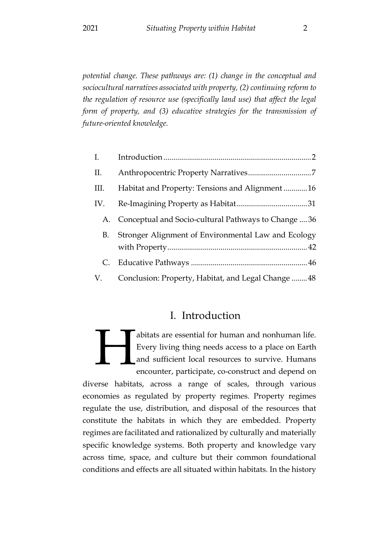*potential change. These pathways are: (1) change in the conceptual and sociocultural narratives associated with property, (2) continuing reform to the regulation of resource use (specifically land use) that affect the legal form of property, and (3) educative strategies for the transmission of future-oriented knowledge.*

| I.   |                                                        |
|------|--------------------------------------------------------|
| П.   |                                                        |
| III. | Habitat and Property: Tensions and Alignment 16        |
| IV.  |                                                        |
|      | A. Conceptual and Socio-cultural Pathways to Change 36 |
| В.   | Stronger Alignment of Environmental Law and Ecology    |
|      |                                                        |
| C.   |                                                        |
| V.   | Conclusion: Property, Habitat, and Legal Change48      |

### I. Introduction

<span id="page-3-0"></span>abitats are essential for human and nonhuman life. Every living thing needs access to a place on Earth and sufficient local resources to survive. Humans encounter, participate, co-construct and depend on H

diverse habitats, across a range of scales, through various economies as regulated by property regimes. Property regimes regulate the use, distribution, and disposal of the resources that constitute the habitats in which they are embedded. Property regimes are facilitated and rationalized by culturally and materially specific knowledge systems. Both property and knowledge vary across time, space, and culture but their common foundational conditions and effects are all situated within habitats. In the history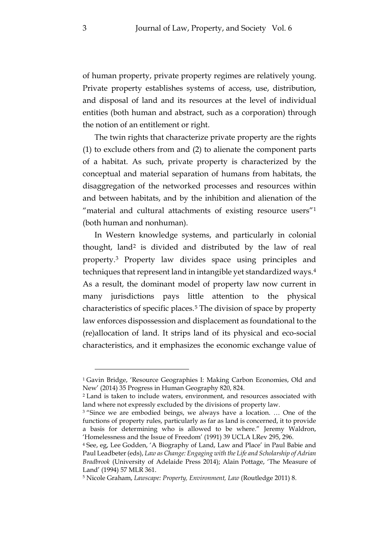of human property, private property regimes are relatively young. Private property establishes systems of access, use, distribution, and disposal of land and its resources at the level of individual entities (both human and abstract, such as a corporation) through the notion of an entitlement or right.

The twin rights that characterize private property are the rights (1) to exclude others from and (2) to alienate the component parts of a habitat. As such, private property is characterized by the conceptual and material separation of humans from habitats, the disaggregation of the networked processes and resources within and between habitats, and by the inhibition and alienation of the "material and cultural attachments of existing resource users"<sup>1</sup> (both human and nonhuman).

<span id="page-4-5"></span>In Western knowledge systems, and particularly in colonial thought, land[2](#page-4-1) is divided and distributed by the law of real property.[3](#page-4-2) Property law divides space using principles and techniques that represent land in intangible yet standardized ways[.4](#page-4-3) As a result, the dominant model of property law now current in many jurisdictions pays little attention to the physical characteristics of specific places.[5](#page-4-4) The division of space by property law enforces dispossession and displacement as foundational to the (re)allocation of land. It strips land of its physical and eco-social characteristics, and it emphasizes the economic exchange value of

<span id="page-4-0"></span><sup>1</sup> Gavin Bridge, 'Resource Geographies I: Making Carbon Economies, Old and New' (2014) 35 Progress in Human Geography 820, 824.

<span id="page-4-1"></span><sup>2</sup> Land is taken to include waters, environment, and resources associated with land where not expressly excluded by the divisions of property law.

<span id="page-4-2"></span><sup>&</sup>lt;sup>3</sup> "Since we are embodied beings, we always have a location. ... One of the functions of property rules, particularly as far as land is concerned, it to provide a basis for determining who is allowed to be where." Jeremy Waldron, 'Homelessness and the Issue of Freedom' (1991) 39 UCLA LRev 295, 296.

<span id="page-4-3"></span><sup>4</sup> See, eg, Lee Godden, 'A Biography of Land, Law and Place' in Paul Babie and Paul Leadbeter (eds), *Law as Change: Engaging with the Life and Scholarship of Adrian Bradbrook* (University of Adelaide Press 2014); Alain Pottage, 'The Measure of Land' (1994) 57 MLR 361.

<span id="page-4-4"></span><sup>5</sup> Nicole Graham, *Lawscape: Property, Environment, Law* (Routledge 2011) 8.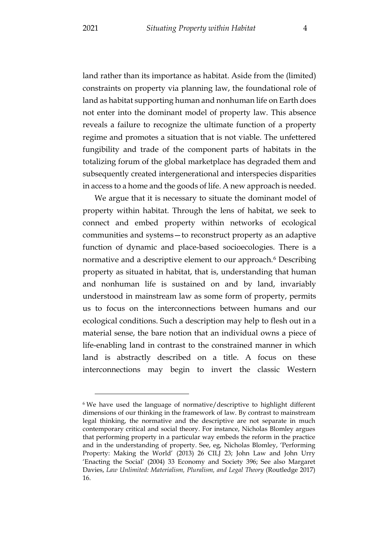land rather than its importance as habitat. Aside from the (limited) constraints on property via planning law, the foundational role of land as habitat supporting human and nonhuman life on Earth does not enter into the dominant model of property law. This absence reveals a failure to recognize the ultimate function of a property regime and promotes a situation that is not viable. The unfettered fungibility and trade of the component parts of habitats in the totalizing forum of the global marketplace has degraded them and subsequently created intergenerational and interspecies disparities in access to a home and the goods of life. A new approach is needed.

<span id="page-5-1"></span>We argue that it is necessary to situate the dominant model of property within habitat. Through the lens of habitat, we seek to connect and embed property within networks of ecological communities and systems—to reconstruct property as an adaptive function of dynamic and place-based socioecologies. There is a normative and a descriptive element to our approach.<sup>[6](#page-5-0)</sup> Describing property as situated in habitat, that is, understanding that human and nonhuman life is sustained on and by land, invariably understood in mainstream law as some form of property, permits us to focus on the interconnections between humans and our ecological conditions. Such a description may help to flesh out in a material sense, the bare notion that an individual owns a piece of life-enabling land in contrast to the constrained manner in which land is abstractly described on a title. A focus on these interconnections may begin to invert the classic Western

<span id="page-5-0"></span><sup>6</sup> We have used the language of normative/descriptive to highlight different dimensions of our thinking in the framework of law. By contrast to mainstream legal thinking, the normative and the descriptive are not separate in much contemporary critical and social theory. For instance, Nicholas Blomley argues that performing property in a particular way embeds the reform in the practice and in the understanding of property. See, eg, Nicholas Blomley, 'Performing Property: Making the World' (2013) 26 CILJ 23; John Law and John Urry 'Enacting the Social' (2004) 33 Economy and Society 396; See also Margaret Davies, *Law Unlimited: Materialism, Pluralism, and Legal Theory* (Routledge 2017) 16.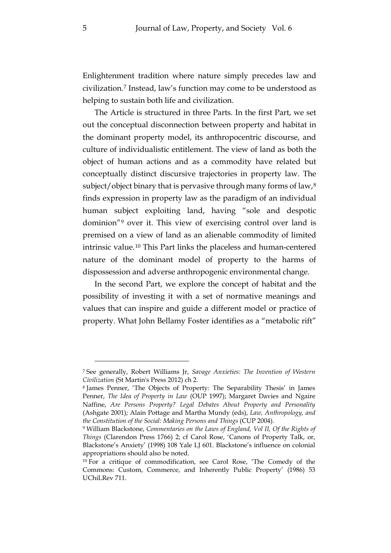Enlightenment tradition where nature simply precedes law and civilization.[7](#page-6-0) Instead, law's function may come to be understood as helping to sustain both life and civilization.

<span id="page-6-4"></span>The Article is structured in three Parts. In the first Part, we set out the conceptual disconnection between property and habitat in the dominant property model, its anthropocentric discourse, and culture of individualistic entitlement. The view of land as both the object of human actions and as a commodity have related but conceptually distinct discursive trajectories in property law. The subject/object binary that is pervasive through many forms of law,<sup>[8](#page-6-1)</sup> finds expression in property law as the paradigm of an individual human subject exploiting land, having "sole and despotic dominion"[9](#page-6-2) over it. This view of exercising control over land is premised on a view of land as an alienable commodity of limited intrinsic value.[10](#page-6-3) This Part links the placeless and human-centered nature of the dominant model of property to the harms of dispossession and adverse anthropogenic environmental change.

In the second Part, we explore the concept of habitat and the possibility of investing it with a set of normative meanings and values that can inspire and guide a different model or practice of property. What John Bellamy Foster identifies as a "metabolic rift"

<span id="page-6-0"></span><sup>7</sup> See generally, Robert Williams Jr, *Savage Anxieties: The Invention of Western Civilization* (St Martin's Press 2012) ch 2.

<span id="page-6-1"></span><sup>8</sup> James Penner, 'The Objects of Property: The Separability Thesis' in James Penner, *The Idea of Property in Law* (OUP 1997); Margaret Davies and Ngaire Naffine, *Are Persons Property? Legal Debates About Property and Personality* (Ashgate 2001); Alain Pottage and Martha Mundy (eds), *Law, Anthropology, and the Constitution of the Social: Making Persons and Things* (CUP 2004).

<span id="page-6-2"></span><sup>9</sup> William Blackstone, *Commentaries on the Laws of England, Vol II, Of the Rights of Things* (Clarendon Press 1766) 2; cf Carol Rose, 'Canons of Property Talk, or, Blackstone's Anxiety' (1998) 108 Yale LJ 601. Blackstone's influence on colonial appropriations should also be noted.

<span id="page-6-3"></span><sup>&</sup>lt;sup>10</sup> For a critique of commodification, see Carol Rose, 'The Comedy of the Commons: Custom, Commerce, and Inherently Public Property' (1986) 53 UChiLRev 711.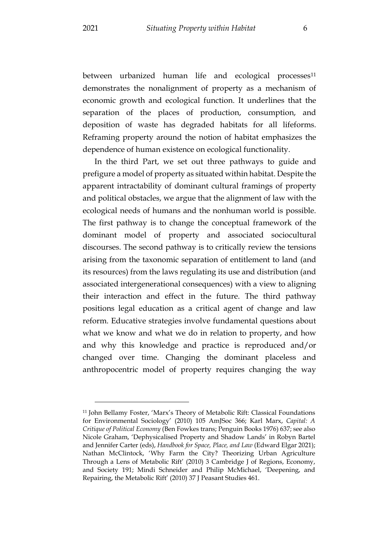<span id="page-7-1"></span>between urbanized human life and ecological processes<sup>11</sup> demonstrates the nonalignment of property as a mechanism of economic growth and ecological function. It underlines that the separation of the places of production, consumption, and deposition of waste has degraded habitats for all lifeforms. Reframing property around the notion of habitat emphasizes the dependence of human existence on ecological functionality.

In the third Part, we set out three pathways to guide and prefigure a model of property as situated within habitat. Despite the apparent intractability of dominant cultural framings of property and political obstacles, we argue that the alignment of law with the ecological needs of humans and the nonhuman world is possible. The first pathway is to change the conceptual framework of the dominant model of property and associated sociocultural discourses. The second pathway is to critically review the tensions arising from the taxonomic separation of entitlement to land (and its resources) from the laws regulating its use and distribution (and associated intergenerational consequences) with a view to aligning their interaction and effect in the future. The third pathway positions legal education as a critical agent of change and law reform. Educative strategies involve fundamental questions about what we know and what we do in relation to property, and how and why this knowledge and practice is reproduced and/or changed over time. Changing the dominant placeless and anthropocentric model of property requires changing the way

<span id="page-7-0"></span><sup>11</sup> John Bellamy Foster, 'Marx's Theory of Metabolic Rift: Classical Foundations for Environmental Sociology' (2010) 105 AmJSoc 366; Karl Marx, *Capital: A Critique of Political Economy* (Ben Fowkes trans; Penguin Books 1976) 637; see also Nicole Graham, 'Dephysicalised Property and Shadow Lands' in Robyn Bartel and Jennifer Carter (eds), *Handbook for Space, Place, and Law* (Edward Elgar 2021); Nathan McClintock, 'Why Farm the City? Theorizing Urban Agriculture Through a Lens of Metabolic Rift' (2010) 3 Cambridge J of Regions, Economy, and Society 191; Mindi Schneider and Philip McMichael, 'Deepening, and Repairing, the Metabolic Rift' (2010) 37 J Peasant Studies 461.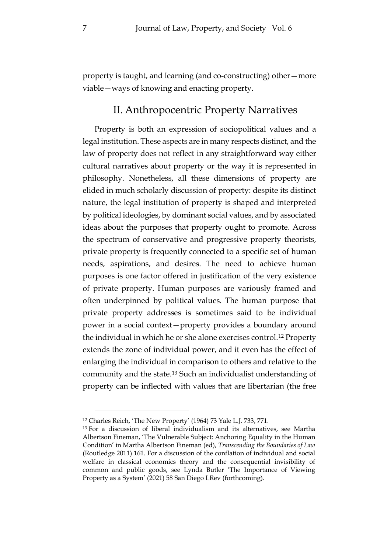<span id="page-8-0"></span>property is taught, and learning (and co-constructing) other—more viable—ways of knowing and enacting property.

#### II. Anthropocentric Property Narratives

Property is both an expression of sociopolitical values and a legal institution. These aspects are in many respects distinct, and the law of property does not reflect in any straightforward way either cultural narratives about property or the way it is represented in philosophy. Nonetheless, all these dimensions of property are elided in much scholarly discussion of property: despite its distinct nature, the legal institution of property is shaped and interpreted by political ideologies, by dominant social values, and by associated ideas about the purposes that property ought to promote. Across the spectrum of conservative and progressive property theorists, private property is frequently connected to a specific set of human needs, aspirations, and desires. The need to achieve human purposes is one factor offered in justification of the very existence of private property. Human purposes are variously framed and often underpinned by political values. The human purpose that private property addresses is sometimes said to be individual power in a social context—property provides a boundary around the individual in which he or she alone exercises control.[12](#page-8-1) Property extends the zone of individual power, and it even has the effect of enlarging the individual in comparison to others and relative to the community and the state.[13](#page-8-2) Such an individualist understanding of property can be inflected with values that are libertarian (the free

<span id="page-8-4"></span><span id="page-8-3"></span><span id="page-8-1"></span><sup>12</sup> Charles Reich, 'The New Property' (1964) 73 Yale L.J. 733, 771.

<span id="page-8-2"></span><sup>13</sup> For a discussion of liberal individualism and its alternatives, see Martha Albertson Fineman, 'The Vulnerable Subject: Anchoring Equality in the Human Condition' in Martha Albertson Fineman (ed), *Transcending the Boundaries of Law* (Routledge 2011) 161. For a discussion of the conflation of individual and social welfare in classical economics theory and the consequential invisibility of common and public goods, see Lynda Butler 'The Importance of Viewing Property as a System' (2021) 58 San Diego LRev (forthcoming).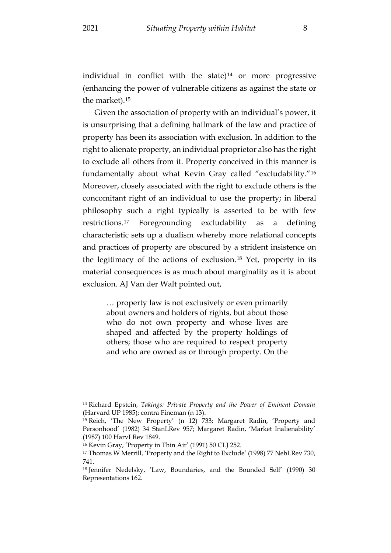individual in conflict with the state) $14$  or more progressive (enhancing the power of vulnerable citizens as against the state or the market).[15](#page-9-1)

Given the association of property with an individual's power, it is unsurprising that a defining hallmark of the law and practice of property has been its association with exclusion. In addition to the right to alienate property, an individual proprietor also has the right to exclude all others from it. Property conceived in this manner is fundamentally about what Kevin Gray called "excludability."[16](#page-9-2) Moreover, closely associated with the right to exclude others is the concomitant right of an individual to use the property; in liberal philosophy such a right typically is asserted to be with few restrictions.[17](#page-9-3) Foregrounding excludability as a defining characteristic sets up a dualism whereby more relational concepts and practices of property are obscured by a strident insistence on the legitimacy of the actions of exclusion.[18](#page-9-4) Yet, property in its material consequences is as much about marginality as it is about exclusion. AJ Van der Walt pointed out,

<span id="page-9-6"></span><span id="page-9-5"></span>… property law is not exclusively or even primarily about owners and holders of rights, but about those who do not own property and whose lives are shaped and affected by the property holdings of others; those who are required to respect property and who are owned as or through property. On the

<span id="page-9-0"></span><sup>14</sup> Richard Epstein, *Takings: Private Property and the Power of Eminent Domain* (Harvard UP 1985); contra Fineman (n [13\)](#page-8-3).

<span id="page-9-1"></span><sup>15</sup> Reich, 'The New Property' (n 12) 733; Margaret Radin, 'Property and Personhood' (1982) 34 StanLRev 957; Margaret Radin, 'Market Inalienability' (1987) 100 HarvLRev 1849.

<span id="page-9-2"></span><sup>16</sup> Kevin Gray, 'Property in Thin Air' (1991) 50 CLJ 252.

<span id="page-9-3"></span><sup>17</sup> Thomas W Merrill, 'Property and the Right to Exclude' (1998) 77 NebLRev 730, 741.

<span id="page-9-4"></span><sup>&</sup>lt;sup>18</sup> Jennifer Nedelsky, 'Law, Boundaries, and the Bounded Self' (1990) 30 Representations 162.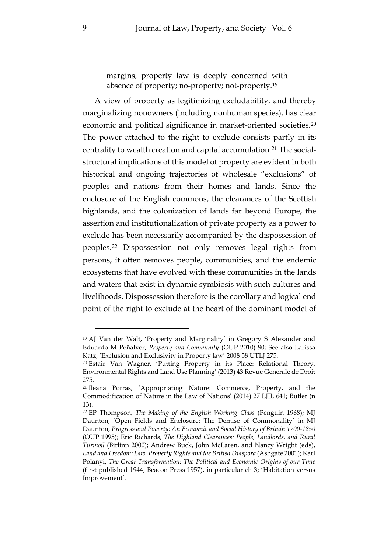margins, property law is deeply concerned with absence of property; no-property; not-property.[19](#page-10-0)

A view of property as legitimizing excludability, and thereby marginalizing nonowners (including nonhuman species), has clear economic and political significance in market-oriented societies[.20](#page-10-1) The power attached to the right to exclude consists partly in its centrality to wealth creation and capital accumulation.[21](#page-10-2) The socialstructural implications of this model of property are evident in both historical and ongoing trajectories of wholesale "exclusions" of peoples and nations from their homes and lands. Since the enclosure of the English commons, the clearances of the Scottish highlands, and the colonization of lands far beyond Europe, the assertion and institutionalization of private property as a power to exclude has been necessarily accompanied by the dispossession of peoples.[22](#page-10-3) Dispossession not only removes legal rights from persons, it often removes people, communities, and the endemic ecosystems that have evolved with these communities in the lands and waters that exist in dynamic symbiosis with such cultures and livelihoods. Dispossession therefore is the corollary and logical end point of the right to exclude at the heart of the dominant model of

<span id="page-10-4"></span><span id="page-10-0"></span><sup>19</sup> AJ Van der Walt, 'Property and Marginality' in Gregory S Alexander and Eduardo M Peñalver, *Property and Community* (OUP 2010) 90; See also Larissa Katz, 'Exclusion and Exclusivity in Property law' 2008 58 UTLJ 275.

<span id="page-10-1"></span><sup>20</sup> Estair Van Wagner, 'Putting Property in its Place: Relational Theory, Environmental Rights and Land Use Planning' (2013) 43 Revue Generale de Droit 275.

<span id="page-10-2"></span><sup>21</sup> Ileana Porras, 'Appropriating Nature: Commerce, Property, and the Commodification of Nature in the Law of Nations' (2014) 27 LJIL 641; Butler (n [13\)](#page-8-3).

<span id="page-10-3"></span><sup>22</sup> EP Thompson, *The Making of the English Working Class* (Penguin 1968); MJ Daunton, 'Open Fields and Enclosure: The Demise of Commonality' in MJ Daunton, *Progress and Poverty: An Economic and Social History of Britain 1700-1850* (OUP 1995); Eric Richards, *The Highland Clearances: People, Landlords, and Rural Turmoil* (Birlinn 2000); Andrew Buck, John McLaren, and Nancy Wright (eds), *Land and Freedom: Law, Property Rights and the British Diaspora* (Ashgate 2001); Karl Polanyi, *The Great Transformation: The Political and Economic Origins of our Time* (first published 1944, Beacon Press 1957), in particular ch 3; 'Habitation versus Improvement'.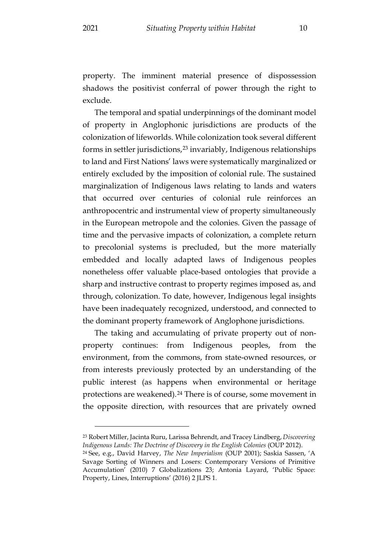property. The imminent material presence of dispossession shadows the positivist conferral of power through the right to exclude.

The temporal and spatial underpinnings of the dominant model of property in Anglophonic jurisdictions are products of the colonization of lifeworlds. While colonization took several different forms in settler jurisdictions,[23](#page-11-0) invariably, Indigenous relationships to land and First Nations' laws were systematically marginalized or entirely excluded by the imposition of colonial rule. The sustained marginalization of Indigenous laws relating to lands and waters that occurred over centuries of colonial rule reinforces an anthropocentric and instrumental view of property simultaneously in the European metropole and the colonies. Given the passage of time and the pervasive impacts of colonization, a complete return to precolonial systems is precluded, but the more materially embedded and locally adapted laws of Indigenous peoples nonetheless offer valuable place-based ontologies that provide a sharp and instructive contrast to property regimes imposed as, and through, colonization. To date, however, Indigenous legal insights have been inadequately recognized, understood, and connected to the dominant property framework of Anglophone jurisdictions.

The taking and accumulating of private property out of nonproperty continues: from Indigenous peoples, from the environment, from the commons, from state-owned resources, or from interests previously protected by an understanding of the public interest (as happens when environmental or heritage protections are weakened).[24](#page-11-1) There is of course, some movement in the opposite direction, with resources that are privately owned

<span id="page-11-2"></span><span id="page-11-0"></span><sup>23</sup> Robert Miller, Jacinta Ruru, Larissa Behrendt, and Tracey Lindberg, *Discovering Indigenous Lands: The Doctrine of Discovery in the English Colonies* (OUP 2012).

<span id="page-11-1"></span><sup>24</sup> See, e.g., David Harvey, *The New Imperialism* (OUP 2001); Saskia Sassen, 'A Savage Sorting of Winners and Losers: Contemporary Versions of Primitive Accumulation' (2010) 7 Globalizations 23; Antonia Layard, 'Public Space: Property, Lines, Interruptions' (2016) 2 JLPS 1.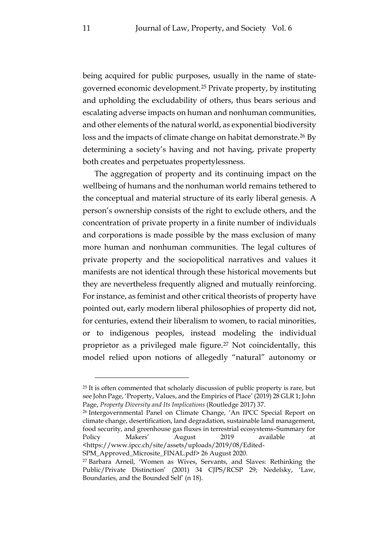being acquired for public purposes, usually in the name of stategoverned economic development.[25](#page-12-0) Private property, by instituting and upholding the excludability of others, thus bears serious and escalating adverse impacts on human and nonhuman communities, and other elements of the natural world, as exponential biodiversity loss and the impacts of climate change on habitat demonstrate.<sup>[26](#page-12-1)</sup> By determining a society's having and not having, private property both creates and perpetuates propertylessness.

The aggregation of property and its continuing impact on the wellbeing of humans and the nonhuman world remains tethered to the conceptual and material structure of its early liberal genesis. A person's ownership consists of the right to exclude others, and the concentration of private property in a finite number of individuals and corporations is made possible by the mass exclusion of many more human and nonhuman communities. The legal cultures of private property and the sociopolitical narratives and values it manifests are not identical through these historical movements but they are nevertheless frequently aligned and mutually reinforcing. For instance, as feminist and other critical theorists of property have pointed out, early modern liberal philosophies of property did not, for centuries, extend their liberalism to women, to racial minorities, or to indigenous peoples, instead modeling the individual proprietor as a privileged male figure.[27](#page-12-2) Not coincidentally, this model relied upon notions of allegedly "natural" autonomy or

<span id="page-12-1"></span><sup>26</sup> Intergovernmental Panel on Climate Change, 'An IPCC Special Report on climate change, desertification, land degradation, sustainable land management, food security, and greenhouse gas fluxes in terrestrial ecosystems–Summary for Policy Makers' August 2019 available at <https://www.ipcc.ch/site/assets/uploads/2019/08/Edited-

<span id="page-12-0"></span> $25$  It is often commented that scholarly discussion of public property is rare, but see John Page, 'Property, Values, and the Empirics of Place' (2019) 28 GLR 1; John Page, *Property Diversity and Its Implications* (Routledge 2017) 37.

SPM\_Approved\_Microsite\_FINAL.pdf> 26 August 2020.

<span id="page-12-2"></span><sup>27</sup> Barbara Arneil, 'Women as Wives, Servants, and Slaves: Rethinking the Public/Private Distinction' (2001) 34 CJPS/RCSP 29; Nedelsky, 'Law, Boundaries, and the Bounded Self' (n [18\)](#page-9-5).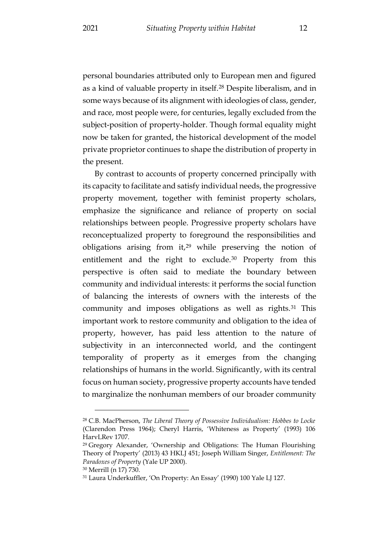the present.

personal boundaries attributed only to European men and figured as a kind of valuable property in itself.[28](#page-13-0) Despite liberalism, and in some ways because of its alignment with ideologies of class, gender, and race, most people were, for centuries, legally excluded from the subject-position of property-holder. Though formal equality might now be taken for granted, the historical development of the model

private proprietor continues to shape the distribution of property in

By contrast to accounts of property concerned principally with its capacity to facilitate and satisfy individual needs, the progressive property movement, together with feminist property scholars, emphasize the significance and reliance of property on social relationships between people. Progressive property scholars have reconceptualized property to foreground the responsibilities and obligations arising from  $it^{29}$  $it^{29}$  $it^{29}$  while preserving the notion of entitlement and the right to exclude.[30](#page-13-2) Property from this perspective is often said to mediate the boundary between community and individual interests: it performs the social function of balancing the interests of owners with the interests of the community and imposes obligations as well as rights.<sup>[31](#page-13-3)</sup> This important work to restore community and obligation to the idea of property, however, has paid less attention to the nature of subjectivity in an interconnected world, and the contingent temporality of property as it emerges from the changing relationships of humans in the world. Significantly, with its central focus on human society, progressive property accounts have tended to marginalize the nonhuman members of our broader community

<span id="page-13-4"></span><span id="page-13-0"></span><sup>28</sup> C.B. MacPherson, *The Liberal Theory of Possessive Individualism: Hobbes to Locke* (Clarendon Press 1964); Cheryl Harris, 'Whiteness as Property' (1993) 106 HarvLRev 1707.

<span id="page-13-1"></span><sup>29</sup> Gregory Alexander, 'Ownership and Obligations: The Human Flourishing Theory of Property' (2013) 43 HKLJ 451; Joseph William Singer, *Entitlement: The Paradoxes of Property* (Yale UP 2000).

<span id="page-13-2"></span><sup>30</sup> Merrill (n [17\)](#page-9-6) 730.

<span id="page-13-3"></span><sup>31</sup> Laura Underkuffler, 'On Property: An Essay' (1990) 100 Yale LJ 127.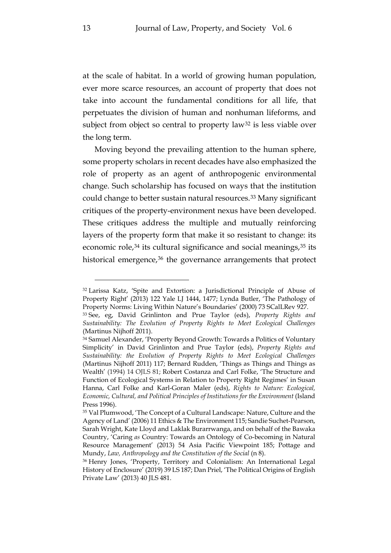at the scale of habitat. In a world of growing human population, ever more scarce resources, an account of property that does not take into account the fundamental conditions for all life, that perpetuates the division of human and nonhuman lifeforms, and subject from object so central to property law<sup>[32](#page-14-0)</sup> is less viable over the long term.

Moving beyond the prevailing attention to the human sphere, some property scholars in recent decades have also emphasized the role of property as an agent of anthropogenic environmental change. Such scholarship has focused on ways that the institution could change to better sustain natural resources.[33](#page-14-1) Many significant critiques of the property-environment nexus have been developed. These critiques address the multiple and mutually reinforcing layers of the property form that make it so resistant to change: its economic role,<sup>[34](#page-14-2)</sup> its cultural significance and social meanings,<sup>[35](#page-14-3)</sup> its historical emergence,<sup>[36](#page-14-4)</sup> the governance arrangements that protect

<span id="page-14-0"></span><sup>32</sup> Larissa Katz, 'Spite and Extortion: a Jurisdictional Principle of Abuse of Property Right' (2013) 122 Yale LJ 1444, 1477; Lynda Butler, 'The Pathology of Property Norms: Living Within Nature's Boundaries' (2000) 73 SCalLRev 927.

<span id="page-14-1"></span><sup>33</sup> See, eg, David Grinlinton and Prue Taylor (eds), *Property Rights and Sustainability: The Evolution of Property Rights to Meet Ecological Challenges* (Martinus Nijhoff 2011).

<span id="page-14-2"></span><sup>34</sup> Samuel Alexander, 'Property Beyond Growth: Towards a Politics of Voluntary Simplicity' in David Grinlinton and Prue Taylor (eds), *Property Rights and Sustainability: the Evolution of Property Rights to Meet Ecological Challenges* (Martinus Nijhoff 2011) 117; Bernard Rudden, 'Things as Things and Things as Wealth' (1994) 14 OJLS 81; Robert Costanza and Carl Folke, 'The Structure and Function of Ecological Systems in Relation to Property Right Regimes' in Susan Hanna, Carl Folke and Karl-Goran Maler (eds), *Rights to Nature: Ecological, Economic, Cultural, and Political Principles of Institutions for the Environment* (Island Press 1996).

<span id="page-14-3"></span><sup>35</sup> Val Plumwood, 'The Concept of a Cultural Landscape: Nature, Culture and the Agency of Land' (2006) 11 Ethics & The Environment 115; Sandie Suchet-Pearson, Sarah Wright, Kate Lloyd and Laklak Burarrwanga, and on behalf of the Bawaka Country, 'Caring *as* Country: Towards an Ontology of Co-becoming in Natural Resource Management' (2013) 54 Asia Pacific Viewpoint 185; Pottage and Mundy, *Law, Anthropology and the Constitution of the Social* (n [8\)](#page-6-4).

<span id="page-14-4"></span><sup>36</sup> Henry Jones, 'Property, Territory and Colonialism: An International Legal History of Enclosure' (2019) 39 LS 187; Dan Priel, 'The Political Origins of English Private Law' (2013) 40 JLS 481.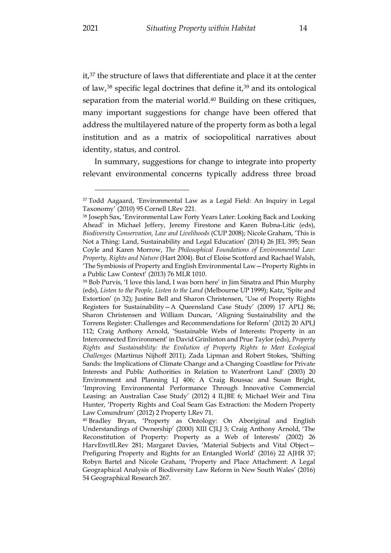<span id="page-15-5"></span><span id="page-15-4"></span>it,[37](#page-15-0) the structure of laws that differentiate and place it at the center of law,<sup>[38](#page-15-1)</sup> specific legal doctrines that define it,<sup>[39](#page-15-2)</sup> and its ontological separation from the material world.<sup>[40](#page-15-3)</sup> Building on these critiques, many important suggestions for change have been offered that address the multilayered nature of the property form as both a legal institution and as a matrix of sociopolitical narratives about identity, status, and control.

In summary, suggestions for change to integrate into property relevant environmental concerns typically address three broad

<span id="page-15-0"></span><sup>37</sup> Todd Aagaard, 'Environmental Law as a Legal Field: An Inquiry in Legal Taxonomy' (2010) 95 Cornell LRev 221.

<span id="page-15-1"></span><sup>38</sup> Joseph Sax, 'Environmental Law Forty Years Later: Looking Back and Looking Ahead' in Michael Jeffery, Jeremy Firestone and Karen Bubna-Litic (eds), *Biodiversity Conservation, Law and Livelihoods* (CUP 2008); Nicole Graham, 'This is Not a Thing: Land, Sustainability and Legal Education' (2014) 26 JEL 395; Sean Coyle and Karen Morrow, *The Philosophical Foundations of Environmental Law: Property, Rights and Nature* (Hart 2004). But cf Eloise Scotford and Rachael Walsh, 'The Symbiosis of Property and English Environmental Law—Property Rights in a Public Law Context' (2013) 76 MLR 1010.

<span id="page-15-2"></span><sup>39</sup> Bob Purvis, 'I love this land, I was born here' in Jim Sinatra and Phin Murphy (eds), *Listen to the People, Listen to the Land* (Melbourne UP 1999); Katz, 'Spite and Extortion' (n 32); Justine Bell and Sharon Christensen, 'Use of Property Rights Registers for Sustainability—A Queensland Case Study' (2009) 17 APLJ 86; Sharon Christensen and William Duncan, 'Aligning Sustainability and the Torrens Register: Challenges and Recommendations for Reform' (2012) 20 APLJ 112; Craig Anthony Arnold, 'Sustainable Webs of Interests: Property in an Interconnected Environment' in David Grinlinton and Prue Taylor (eds), *Property Rights and Sustainability: the Evolution of Property Rights to Meet Ecological Challenges* (Martinus Nijhoff 2011); Zada Lipman and Robert Stokes, 'Shifting Sands: the Implications of Climate Change and a Changing Coastline for Private Interests and Public Authorities in Relation to Waterfront Land' (2003) 20 Environment and Planning LJ 406; A Craig Roussac and Susan Bright, 'Improving Environmental Performance Through Innovative Commercial Leasing: an Australian Case Study' (2012) 4 ILJBE 6; Michael Weir and Tina Hunter, 'Property Rights and Coal Seam Gas Extraction: the Modern Property Law Conundrum' (2012) 2 Property LRev 71.

<span id="page-15-3"></span><sup>40</sup> Bradley Bryan, 'Property as Ontology: On Aboriginal and English Understandings of Ownership' (2000) XIII CJLJ 3; Craig Anthony Arnold, 'The Reconstitution of Property: Property as a Web of Interests' (2002) 26 HarvEnvtlLRev 281; Margaret Davies, 'Material Subjects and Vital Object-Prefiguring Property and Rights for an Entangled World' (2016) 22 AJHR 37; Robyn Bartel and Nicole Graham, 'Property and Place Attachment: A Legal Geographical Analysis of Biodiversity Law Reform in New South Wales' (2016) 54 Geographical Research 267.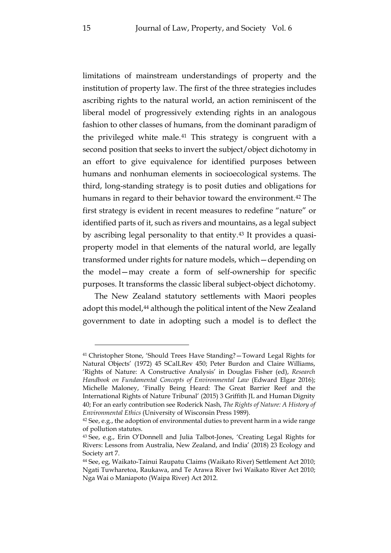limitations of mainstream understandings of property and the institution of property law. The first of the three strategies includes ascribing rights to the natural world, an action reminiscent of the liberal model of progressively extending rights in an analogous fashion to other classes of humans, from the dominant paradigm of the privileged white male.[41](#page-16-0) This strategy is congruent with a second position that seeks to invert the subject/object dichotomy in an effort to give equivalence for identified purposes between humans and nonhuman elements in socioecological systems. The third, long-standing strategy is to posit duties and obligations for humans in regard to their behavior toward the environment.<sup>[42](#page-16-1)</sup> The first strategy is evident in recent measures to redefine "nature" or identified parts of it, such as rivers and mountains, as a legal subject by ascribing legal personality to that entity[.43](#page-16-2) It provides a quasiproperty model in that elements of the natural world, are legally transformed under rights for nature models, which—depending on the model—may create a form of self-ownership for specific purposes. It transforms the classic liberal subject-object dichotomy.

The New Zealand statutory settlements with Maori peoples adopt this model,<sup>[44](#page-16-3)</sup> although the political intent of the New Zealand government to date in adopting such a model is to deflect the

<span id="page-16-0"></span><sup>41</sup> Christopher Stone, 'Should Trees Have Standing?—Toward Legal Rights for Natural Objects' (1972) 45 SCalLRev 450; Peter Burdon and Claire Williams, 'Rights of Nature: A Constructive Analysis' in Douglas Fisher (ed), *Research Handbook on Fundamental Concepts of Environmental Law* (Edward Elgar 2016); Michelle Maloney, 'Finally Being Heard: The Great Barrier Reef and the International Rights of Nature Tribunal' (2015) 3 Griffith JL and Human Dignity 40; For an early contribution see Roderick Nash, *The Rights of Nature: A History of Environmental Ethics* (University of Wisconsin Press 1989).

<span id="page-16-1"></span> $42$  See, e.g., the adoption of environmental duties to prevent harm in a wide range of pollution statutes.

<span id="page-16-2"></span><sup>43</sup> See, e.g., Erin O'Donnell and Julia Talbot-Jones, 'Creating Legal Rights for Rivers: Lessons from Australia, New Zealand, and India' (2018) 23 Ecology and Society art 7.

<span id="page-16-3"></span><sup>44</sup> See, eg, Waikato-Tainui Raupatu Claims (Waikato River) Settlement Act 2010; Ngati Tuwharetoa, Raukawa, and Te Arawa River Iwi Waikato River Act 2010; Nga Wai o Maniapoto (Waipa River) Act 2012.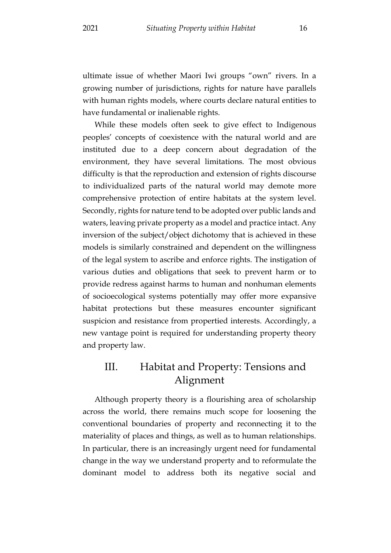ultimate issue of whether Maori Iwi groups "own" rivers. In a growing number of jurisdictions, rights for nature have parallels with human rights models, where courts declare natural entities to have fundamental or inalienable rights.

While these models often seek to give effect to Indigenous peoples' concepts of coexistence with the natural world and are instituted due to a deep concern about degradation of the environment, they have several limitations. The most obvious difficulty is that the reproduction and extension of rights discourse to individualized parts of the natural world may demote more comprehensive protection of entire habitats at the system level. Secondly, rights for nature tend to be adopted over public lands and waters, leaving private property as a model and practice intact. Any inversion of the subject/object dichotomy that is achieved in these models is similarly constrained and dependent on the willingness of the legal system to ascribe and enforce rights. The instigation of various duties and obligations that seek to prevent harm or to provide redress against harms to human and nonhuman elements of socioecological systems potentially may offer more expansive habitat protections but these measures encounter significant suspicion and resistance from propertied interests. Accordingly, a new vantage point is required for understanding property theory and property law.

## <span id="page-17-0"></span>III. Habitat and Property: Tensions and Alignment

Although property theory is a flourishing area of scholarship across the world, there remains much scope for loosening the conventional boundaries of property and reconnecting it to the materiality of places and things, as well as to human relationships. In particular, there is an increasingly urgent need for fundamental change in the way we understand property and to reformulate the dominant model to address both its negative social and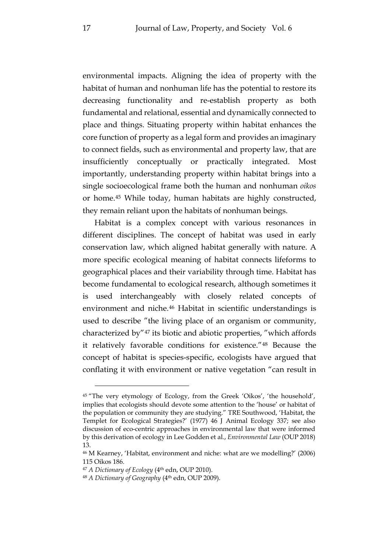environmental impacts. Aligning the idea of property with the habitat of human and nonhuman life has the potential to restore its decreasing functionality and re-establish property as both fundamental and relational, essential and dynamically connected to place and things. Situating property within habitat enhances the core function of property as a legal form and provides an imaginary to connect fields, such as environmental and property law, that are insufficiently conceptually or practically integrated. Most importantly, understanding property within habitat brings into a single socioecological frame both the human and nonhuman *oikos* or home.[45](#page-18-0) While today, human habitats are highly constructed, they remain reliant upon the habitats of nonhuman beings.

<span id="page-18-4"></span>Habitat is a complex concept with various resonances in different disciplines. The concept of habitat was used in early conservation law, which aligned habitat generally with nature. A more specific ecological meaning of habitat connects lifeforms to geographical places and their variability through time. Habitat has become fundamental to ecological research, although sometimes it is used interchangeably with closely related concepts of environment and niche.[46](#page-18-1) Habitat in scientific understandings is used to describe "the living place of an organism or community, characterized by"[47](#page-18-2) its biotic and abiotic properties, "which affords it relatively favorable conditions for existence."[48](#page-18-3) Because the concept of habitat is species-specific, ecologists have argued that conflating it with environment or native vegetation "can result in

<span id="page-18-0"></span><sup>45</sup> "The very etymology of Ecology, from the Greek 'Oikos', 'the household', implies that ecologists should devote some attention to the 'house' or habitat of the population or community they are studying." TRE Southwood, 'Habitat, the Templet for Ecological Strategies?' (1977) 46 J Animal Ecology 337; see also discussion of eco-centric approaches in environmental law that were informed by this derivation of ecology in Lee Godden et al., *Environmental Law* (OUP 2018) 13.

<span id="page-18-1"></span><sup>46</sup> M Kearney, 'Habitat, environment and niche: what are we modelling?' (2006) 115 Oikos 186.

<span id="page-18-2"></span><sup>47</sup> *A Dictionary of Ecology* (4th edn, OUP 2010).

<span id="page-18-3"></span><sup>&</sup>lt;sup>48</sup> A Dictionary of Geography (4<sup>th</sup> edn, OUP 2009).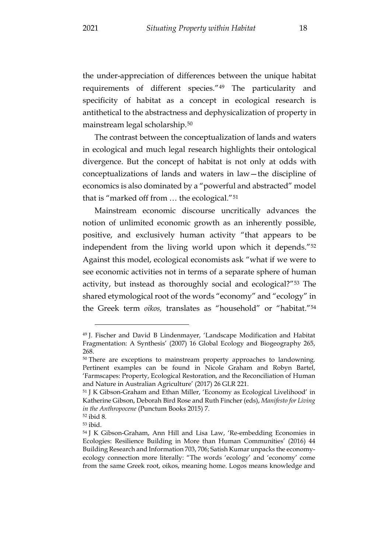the under-appreciation of differences between the unique habitat requirements of different species."[49](#page-19-0) The particularity and specificity of habitat as a concept in ecological research is antithetical to the abstractness and dephysicalization of property in mainstream legal scholarship.[50](#page-19-1)

The contrast between the conceptualization of lands and waters in ecological and much legal research highlights their ontological divergence. But the concept of habitat is not only at odds with conceptualizations of lands and waters in law—the discipline of economics is also dominated by a "powerful and abstracted" model that is "marked off from … the ecological."[51](#page-19-2)

<span id="page-19-6"></span>Mainstream economic discourse uncritically advances the notion of unlimited economic growth as an inherently possible, positive, and exclusively human activity "that appears to be independent from the living world upon which it depends."[52](#page-19-3) Against this model, ecological economists ask "what if we were to see economic activities not in terms of a separate sphere of human activity, but instead as thoroughly social and ecological?"[53](#page-19-4) The shared etymological root of the words "economy" and "ecology" in the Greek term *oikos,* translates as "household" or "habitat.["54](#page-19-5)

<span id="page-19-0"></span><sup>49</sup> J. Fischer and David B Lindenmayer, 'Landscape Modification and Habitat Fragmentation: A Synthesis' (2007) 16 Global Ecology and Biogeography 265, 268.

<span id="page-19-1"></span><sup>&</sup>lt;sup>50</sup> There are exceptions to mainstream property approaches to landowning. Pertinent examples can be found in Nicole Graham and Robyn Bartel, 'Farmscapes: Property, Ecological Restoration, and the Reconciliation of Human and Nature in Australian Agriculture' (2017) 26 GLR 221.

<span id="page-19-2"></span><sup>51</sup> J K Gibson-Graham and Ethan Miller, 'Economy as Ecological Livelihood' in Katherine Gibson, Deborah Bird Rose and Ruth Fincher (eds), *Manifesto for Living in the Anthropocene* (Punctum Books 2015) 7.

<span id="page-19-3"></span><sup>52</sup> ibid 8.

<span id="page-19-4"></span><sup>53</sup> ibid.

<span id="page-19-5"></span><sup>54</sup> J K Gibson-Graham, Ann Hill and Lisa Law, 'Re-embedding Economies in Ecologies: Resilience Building in More than Human Communities' (2016) 44 Building Research and Information 703, 706; Satish Kumar unpacks the economyecology connection more literally: "The words 'ecology' and 'economy' come from the same Greek root, oikos, meaning home. Logos means knowledge and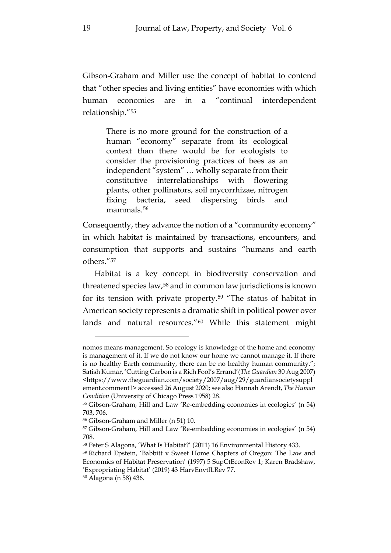Gibson-Graham and Miller use the concept of habitat to contend that "other species and living entities" have economies with which human economies are in a "continual interdependent relationship."[55](#page-20-1)

There is no more ground for the construction of a human "economy" separate from its ecological context than there would be for ecologists to consider the provisioning practices of bees as an independent "system" … wholly separate from their constitutive interrelationships with flowering plants, other pollinators, soil mycorrhizae, nitrogen fixing bacteria, seed dispersing birds and mammals.<sup>[56](#page-20-2)</sup>

Consequently, they advance the notion of a "community economy" in which habitat is maintained by transactions, encounters, and consumption that supports and sustains "humans and earth others.["57](#page-20-3)

<span id="page-20-0"></span>Habitat is a key concept in biodiversity conservation and threatened species law,[58](#page-20-4) and in common law jurisdictions is known for its tension with private property.[59](#page-20-5) "The status of habitat in American society represents a dramatic shift in political power over lands and natural resources."[60](#page-20-6) While this statement might

nomos means management. So ecology is knowledge of the home and economy is management of it. If we do not know our home we cannot manage it. If there is no healthy Earth community, there can be no healthy human community."; Satish Kumar, 'Cutting Carbon is a Rich Fool's Errand'(*The Guardian* 30 Aug 2007) <https://www.theguardian.com/society/2007/aug/29/guardiansocietysuppl ement.comment1> accessed 26 August 2020; see also Hannah Arendt, *The Human Condition* (University of Chicago Press 1958) 28.

<span id="page-20-1"></span><sup>55</sup> Gibson-Graham, Hill and Law 'Re-embedding economies in ecologies' (n 54) 703, 706.

<span id="page-20-2"></span><sup>56</sup> Gibson-Graham and Miller (n [51\)](#page-19-6) 10.

<span id="page-20-3"></span><sup>57</sup> Gibson-Graham, Hill and Law 'Re-embedding economies in ecologies' (n 54) 708.

<span id="page-20-4"></span><sup>58</sup> Peter S Alagona, 'What Is Habitat?' (2011) 16 Environmental History 433.

<span id="page-20-5"></span><sup>59</sup> Richard Epstein, 'Babbitt v Sweet Home Chapters of Oregon: The Law and Economics of Habitat Preservation' (1997) 5 SupCtEconRev 1; Karen Bradshaw, 'Expropriating Habitat' (2019) 43 HarvEnvtlLRev 77.

<span id="page-20-6"></span><sup>60</sup> Alagona ([n 58\)](#page-20-0) 436.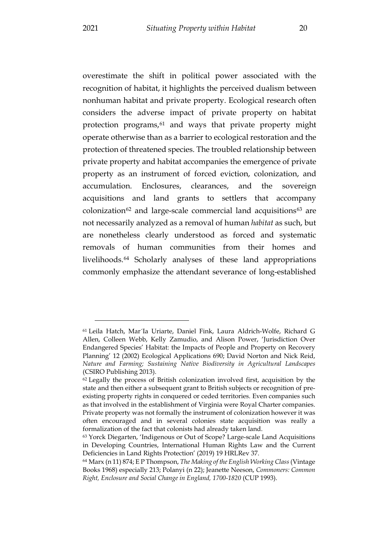overestimate the shift in political power associated with the recognition of habitat, it highlights the perceived dualism between nonhuman habitat and private property. Ecological research often considers the adverse impact of private property on habitat protection programs,<sup>[61](#page-21-0)</sup> and ways that private property might operate otherwise than as a barrier to ecological restoration and the protection of threatened species. The troubled relationship between private property and habitat accompanies the emergence of private property as an instrument of forced eviction, colonization, and accumulation. Enclosures, clearances, and the sovereign acquisitions and land grants to settlers that accompany colonization<sup>[62](#page-21-1)</sup> and large-scale commercial land acquisitions<sup>[63](#page-21-2)</sup> are not necessarily analyzed as a removal of human *habitat* as such, but are nonetheless clearly understood as forced and systematic removals of human communities from their homes and livelihoods.[64](#page-21-3) Scholarly analyses of these land appropriations commonly emphasize the attendant severance of long-established

<span id="page-21-4"></span><span id="page-21-0"></span><sup>61</sup> Leila Hatch, Mar´Ia Uriarte, Daniel Fink, Laura Aldrich-Wolfe, Richard G Allen, Colleen Webb, Kelly Zamudio, and Alison Power, 'Jurisdiction Over Endangered Species' Habitat: the Impacts of People and Property on Recovery Planning' 12 (2002) Ecological Applications 690; David Norton and Nick Reid, *Nature and Farming; Sustaining Native Biodiversity in Agricultural Landscapes*  (CSIRO Publishing 2013).

<span id="page-21-1"></span><sup>62</sup> Legally the process of British colonization involved first, acquisition by the state and then either a subsequent grant to British subjects or recognition of preexisting property rights in conquered or ceded territories. Even companies such as that involved in the establishment of Virginia were Royal Charter companies. Private property was not formally the instrument of colonization however it was often encouraged and in several colonies state acquisition was really a formalization of the fact that colonists had already taken land.

<span id="page-21-2"></span><sup>63</sup> Yorck Diegarten, 'Indigenous or Out of Scope? Large-scale Land Acquisitions in Developing Countries, International Human Rights Law and the Current Deficiencies in Land Rights Protection' (2019) 19 HRLRev 37.

<span id="page-21-3"></span><sup>64</sup> Marx ([n 11\)](#page-7-1) 874; E P Thompson, *The Making of the English Working Class*(Vintage Books 1968) especially 213; Polanyi (n 22); Jeanette Neeson, *Commoners: Common Right, Enclosure and Social Change in England, 1700-1820* (CUP 1993).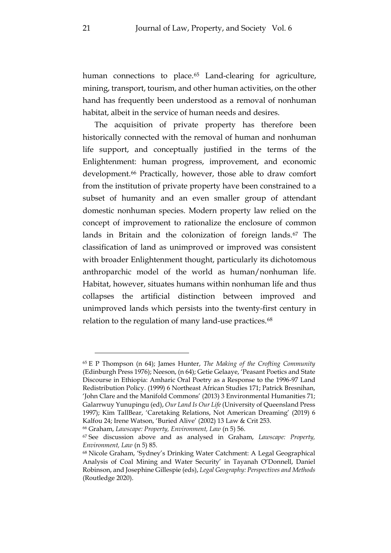<span id="page-22-4"></span>human connections to place.<sup>[65](#page-22-0)</sup> Land-clearing for agriculture, mining, transport, tourism, and other human activities, on the other hand has frequently been understood as a removal of nonhuman habitat, albeit in the service of human needs and desires.

The acquisition of private property has therefore been historically connected with the removal of human and nonhuman life support, and conceptually justified in the terms of the Enlightenment: human progress, improvement, and economic development.<sup>[66](#page-22-1)</sup> Practically, however, those able to draw comfort from the institution of private property have been constrained to a subset of humanity and an even smaller group of attendant domestic nonhuman species. Modern property law relied on the concept of improvement to rationalize the enclosure of common lands in Britain and the colonization of foreign lands.<sup>[67](#page-22-2)</sup> The classification of land as unimproved or improved was consistent with broader Enlightenment thought, particularly its dichotomous anthroparchic model of the world as human/nonhuman life. Habitat, however, situates humans within nonhuman life and thus collapses the artificial distinction between improved and unimproved lands which persists into the twenty-first century in relation to the regulation of many land-use practices.<sup>[68](#page-22-3)</sup>

<span id="page-22-0"></span><sup>65</sup> E P Thompson (n [64\)](#page-21-4); James Hunter, *The Making of the Crofting Community*  (Edinburgh Press 1976); Neeson, (n 64); Getie Gelaaye, 'Peasant Poetics and State Discourse in Ethiopia: Amharic Oral Poetry as a Response to the 1996-97 Land Redistribution Policy. (1999) 6 Northeast African Studies 171; Patrick Bresnihan, 'John Clare and the Manifold Commons' (2013) 3 Environmental Humanities 71; Galarrwuy Yunupingu (ed), *Our Land Is Our Life* (University of Queensland Press 1997); Kim TallBear, 'Caretaking Relations, Not American Dreaming' (2019) 6 Kalfou 24; Irene Watson, 'Buried Alive' (2002) 13 Law & Crit 253.

<span id="page-22-1"></span><sup>66</sup> Graham, *Lawscape: Property, Environment, Law* (n [5\)](#page-4-5) 56.

<span id="page-22-2"></span><sup>67</sup> See discussion above and as analysed in Graham, *Lawscape: Property, Environment, Law* (n [5\)](#page-4-5) 85.

<span id="page-22-3"></span><sup>68</sup> Nicole Graham, 'Sydney's Drinking Water Catchment: A Legal Geographical Analysis of Coal Mining and Water Security' in Tayanah O'Donnell, Daniel Robinson, and Josephine Gillespie (eds), *Legal Geography: Perspectives and Methods*  (Routledge 2020).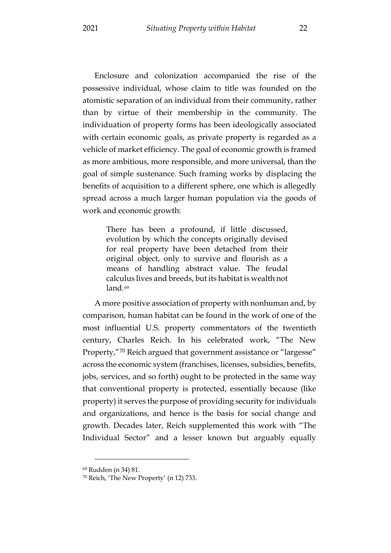Enclosure and colonization accompanied the rise of the possessive individual, whose claim to title was founded on the atomistic separation of an individual from their community, rather than by virtue of their membership in the community. The individuation of property forms has been ideologically associated with certain economic goals, as private property is regarded as a vehicle of market efficiency. The goal of economic growth is framed as more ambitious, more responsible, and more universal, than the goal of simple sustenance. Such framing works by displacing the benefits of acquisition to a different sphere, one which is allegedly spread across a much larger human population via the goods of work and economic growth:

There has been a profound, if little discussed, evolution by which the concepts originally devised for real property have been detached from their original object, only to survive and flourish as a means of handling abstract value. The feudal calculus lives and breeds, but its habitat is wealth not land.<sup>[69](#page-23-0)</sup>

A more positive association of property with nonhuman and, by comparison, human habitat can be found in the work of one of the most influential U.S. property commentators of the twentieth century, Charles Reich. In his celebrated work, "The New Property,"[70](#page-23-1) Reich argued that government assistance or "largesse" across the economic system (franchises, licenses, subsidies, benefits, jobs, services, and so forth) ought to be protected in the same way that conventional property is protected, essentially because (like property) it serves the purpose of providing security for individuals and organizations, and hence is the basis for social change and growth. Decades later, Reich supplemented this work with "The Individual Sector" and a lesser known but arguably equally

<span id="page-23-0"></span><sup>69</sup> Rudden (n 34) 81.

<span id="page-23-1"></span><sup>70</sup> Reich, 'The New Property' ([n 12\)](#page-8-4) 733.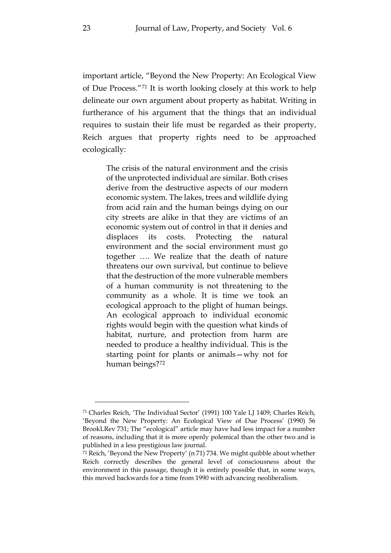<span id="page-24-0"></span>important article, "Beyond the New Property: An Ecological View of Due Process."[71](#page-24-1) It is worth looking closely at this work to help delineate our own argument about property as habitat. Writing in furtherance of his argument that the things that an individual requires to sustain their life must be regarded as their property, Reich argues that property rights need to be approached ecologically:

The crisis of the natural environment and the crisis of the unprotected individual are similar. Both crises derive from the destructive aspects of our modern economic system. The lakes, trees and wildlife dying from acid rain and the human beings dying on our city streets are alike in that they are victims of an economic system out of control in that it denies and displaces its costs. Protecting the natural environment and the social environment must go together …. We realize that the death of nature threatens our own survival, but continue to believe that the destruction of the more vulnerable members of a human community is not threatening to the community as a whole. It is time we took an ecological approach to the plight of human beings. An ecological approach to individual economic rights would begin with the question what kinds of habitat, nurture, and protection from harm are needed to produce a healthy individual. This is the starting point for plants or animals—why not for human beings?[72](#page-24-2)

<span id="page-24-1"></span><sup>71</sup> Charles Reich, 'The Individual Sector' (1991) 100 Yale LJ 1409; Charles Reich, 'Beyond the New Property: An Ecological View of Due Process' (1990) 56 BrookLRev 731; The "ecological" article may have had less impact for a number of reasons, including that it is more openly polemical than the other two and is published in a less prestigious law journal.

<span id="page-24-2"></span><sup>72</sup> Reich, 'Beyond the New Property' (n [71\)](#page-24-0) 734. We might quibble about whether Reich correctly describes the general level of consciousness about the environment in this passage, though it is entirely possible that, in some ways, this moved backwards for a time from 1990 with advancing neoliberalism.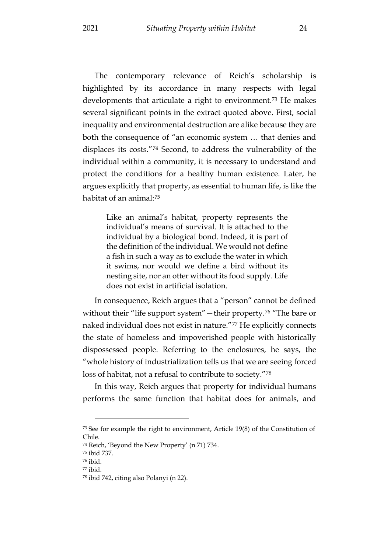The contemporary relevance of Reich's scholarship is highlighted by its accordance in many respects with legal developments that articulate a right to environment.<sup>[73](#page-25-0)</sup> He makes several significant points in the extract quoted above. First, social inequality and environmental destruction are alike because they are both the consequence of "an economic system … that denies and displaces its costs."[74](#page-25-1) Second, to address the vulnerability of the individual within a community, it is necessary to understand and protect the conditions for a healthy human existence. Later, he argues explicitly that property, as essential to human life, is like the habitat of an animal:[75](#page-25-2)

Like an animal's habitat, property represents the individual's means of survival. It is attached to the individual by a biological bond. Indeed, it is part of the definition of the individual. We would not define a fish in such a way as to exclude the water in which it swims, nor would we define a bird without its nesting site, nor an otter without its food supply. Life does not exist in artificial isolation.

In consequence, Reich argues that a "person" cannot be defined without their "life support system" — their property.<sup>[76](#page-25-3)</sup> "The bare or naked individual does not exist in nature."[77](#page-25-4) He explicitly connects the state of homeless and impoverished people with historically dispossessed people. Referring to the enclosures, he says, the "whole history of industrialization tells us that we are seeing forced loss of habitat, not a refusal to contribute to society."[78](#page-25-5)

In this way, Reich argues that property for individual humans performs the same function that habitat does for animals, and

<span id="page-25-0"></span><sup>73</sup> See for example the right to environment, Article 19(8) of the Constitution of Chile.

<span id="page-25-1"></span><sup>74</sup> Reich, 'Beyond the New Property' (n [71\)](#page-24-0) 734.

<span id="page-25-2"></span><sup>75</sup> ibid 737.

<span id="page-25-3"></span><sup>76</sup> ibid.

<span id="page-25-4"></span><sup>77</sup> ibid.

<span id="page-25-5"></span><sup>78</sup> ibid 742, citing also Polanyi (n [22\)](#page-10-4).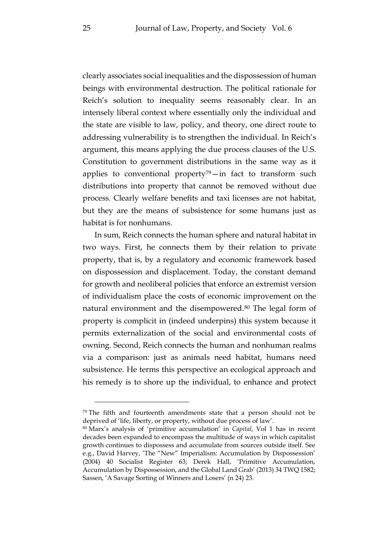clearly associates social inequalities and the dispossession of human beings with environmental destruction. The political rationale for Reich's solution to inequality seems reasonably clear. In an intensely liberal context where essentially only the individual and the state are visible to law, policy, and theory, one direct route to addressing vulnerability is to strengthen the individual. In Reich's argument, this means applying the due process clauses of the U.S. Constitution to government distributions in the same way as it applies to conventional property<sup>79</sup>—in fact to transform such distributions into property that cannot be removed without due process. Clearly welfare benefits and taxi licenses are not habitat, but they are the means of subsistence for some humans just as habitat is for nonhumans.

In sum, Reich connects the human sphere and natural habitat in two ways. First, he connects them by their relation to private property, that is, by a regulatory and economic framework based on dispossession and displacement. Today, the constant demand for growth and neoliberal policies that enforce an extremist version of individualism place the costs of economic improvement on the natural environment and the disempowered.<sup>[80](#page-26-1)</sup> The legal form of property is complicit in (indeed underpins) this system because it permits externalization of the social and environmental costs of owning. Second, Reich connects the human and nonhuman realms via a comparison: just as animals need habitat, humans need subsistence. He terms this perspective an ecological approach and his remedy is to shore up the individual, to enhance and protect

<span id="page-26-0"></span><sup>&</sup>lt;sup>79</sup> The fifth and fourteenth amendments state that a person should not be deprived of 'life, liberty, or property, without due process of law'.

<span id="page-26-1"></span><sup>80</sup> Marx's analysis of 'primitive accumulation' in *Capital*, Vol 1 has in recent decades been expanded to encompass the multitude of ways in which capitalist growth continues to dispossess and accumulate from sources outside itself. See e.g., David Harvey, 'The "New" Imperialism: Accumulation by Dispossession' (2004) 40 Socialist Register 63; Derek Hall, 'Primitive Accumulation, Accumulation by Dispossession, and the Global Land Grab' (2013) 34 TWQ 1582; Sassen, 'A Savage Sorting of Winners and Losers' (n [24\)](#page-11-2) 23.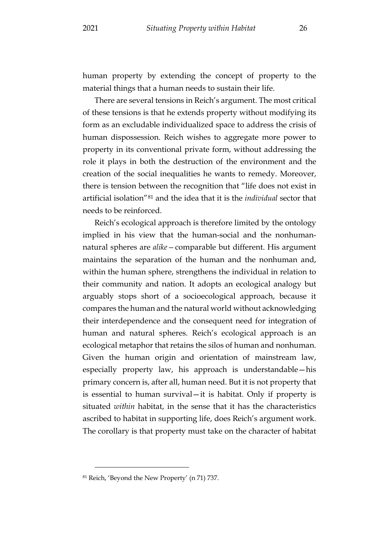human property by extending the concept of property to the material things that a human needs to sustain their life.

There are several tensions in Reich's argument. The most critical of these tensions is that he extends property without modifying its form as an excludable individualized space to address the crisis of human dispossession. Reich wishes to aggregate more power to property in its conventional private form, without addressing the role it plays in both the destruction of the environment and the creation of the social inequalities he wants to remedy. Moreover, there is tension between the recognition that "life does not exist in artificial isolation"[81](#page-27-0) and the idea that it is the *individual* sector that needs to be reinforced.

Reich's ecological approach is therefore limited by the ontology implied in his view that the human-social and the nonhumannatural spheres are *alike—*comparable but different. His argument maintains the separation of the human and the nonhuman and, within the human sphere, strengthens the individual in relation to their community and nation. It adopts an ecological analogy but arguably stops short of a socioecological approach, because it compares the human and the natural world without acknowledging their interdependence and the consequent need for integration of human and natural spheres. Reich's ecological approach is an ecological metaphor that retains the silos of human and nonhuman. Given the human origin and orientation of mainstream law, especially property law, his approach is understandable—his primary concern is, after all, human need. But it is not property that is essential to human survival—it is habitat. Only if property is situated *within* habitat, in the sense that it has the characteristics ascribed to habitat in supporting life, does Reich's argument work. The corollary is that property must take on the character of habitat

<span id="page-27-0"></span><sup>81</sup> Reich, 'Beyond the New Property' (n [71\)](#page-24-0) 737.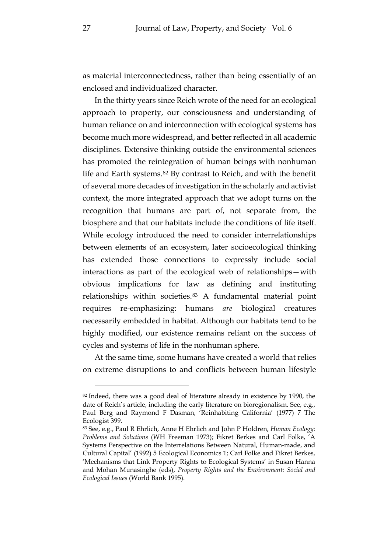as material interconnectedness, rather than being essentially of an enclosed and individualized character.

In the thirty years since Reich wrote of the need for an ecological approach to property, our consciousness and understanding of human reliance on and interconnection with ecological systems has become much more widespread, and better reflected in all academic disciplines. Extensive thinking outside the environmental sciences has promoted the reintegration of human beings with nonhuman life and Earth systems.[82](#page-28-0) By contrast to Reich, and with the benefit of several more decades of investigation in the scholarly and activist context, the more integrated approach that we adopt turns on the recognition that humans are part of, not separate from, the biosphere and that our habitats include the conditions of life itself. While ecology introduced the need to consider interrelationships between elements of an ecosystem, later socioecological thinking has extended those connections to expressly include social interactions as part of the ecological web of relationships—with obvious implications for law as defining and instituting relationships within societies.[83](#page-28-1) A fundamental material point requires re-emphasizing: humans *are* biological creatures necessarily embedded in habitat. Although our habitats tend to be highly modified, our existence remains reliant on the success of cycles and systems of life in the nonhuman sphere.

At the same time, some humans have created a world that relies on extreme disruptions to and conflicts between human lifestyle

<span id="page-28-0"></span><sup>&</sup>lt;sup>82</sup> Indeed, there was a good deal of literature already in existence by 1990, the date of Reich's article, including the early literature on bioregionalism. See, e.g., Paul Berg and Raymond F Dasman, 'Reinhabiting California' (1977) 7 The Ecologist 399.

<span id="page-28-1"></span><sup>83</sup> See, e.g., Paul R Ehrlich, Anne H Ehrlich and John P Holdren, *Human Ecology: Problems and Solutions* (WH Freeman 1973); Fikret Berkes and Carl Folke, 'A Systems Perspective on the Interrelations Between Natural, Human-made, and Cultural Capital' (1992) 5 Ecological Economics 1; Carl Folke and Fikret Berkes, 'Mechanisms that Link Property Rights to Ecological Systems' in Susan Hanna and Mohan Munasinghe (eds), *Property Rights and the Environment: Social and Ecological Issues* (World Bank 1995).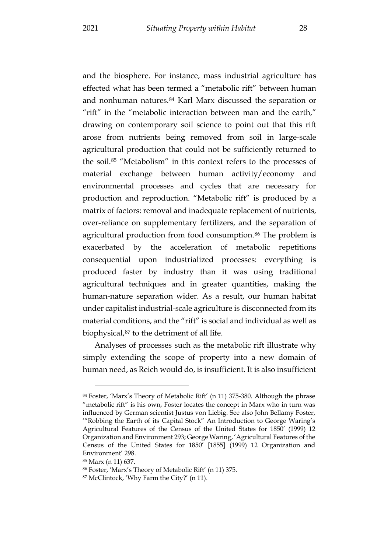and the biosphere. For instance, mass industrial agriculture has effected what has been termed a "metabolic rift" between human and nonhuman natures.[84](#page-29-0) Karl Marx discussed the separation or "rift" in the "metabolic interaction between man and the earth," drawing on contemporary soil science to point out that this rift arose from nutrients being removed from soil in large-scale agricultural production that could not be sufficiently returned to the soil.[85](#page-29-1) "Metabolism" in this context refers to the processes of material exchange between human activity/economy and environmental processes and cycles that are necessary for production and reproduction. "Metabolic rift" is produced by a matrix of factors: removal and inadequate replacement of nutrients, over-reliance on supplementary fertilizers, and the separation of agricultural production from food consumption.[86](#page-29-2) The problem is exacerbated by the acceleration of metabolic repetitions consequential upon industrialized processes: everything is produced faster by industry than it was using traditional agricultural techniques and in greater quantities, making the human-nature separation wider. As a result, our human habitat under capitalist industrial-scale agriculture is disconnected from its material conditions, and the "rift" is social and individual as well as biophysical,[87](#page-29-3) to the detriment of all life.

Analyses of processes such as the metabolic rift illustrate why simply extending the scope of property into a new domain of human need, as Reich would do, is insufficient. It is also insufficient

<span id="page-29-0"></span><sup>84</sup> Foster, 'Marx's Theory of Metabolic Rift' (n [11\)](#page-7-1) 375-380. Although the phrase "metabolic rift" is his own, Foster locates the concept in Marx who in turn was influenced by German scientist Justus von Liebig. See also John Bellamy Foster, '"Robbing the Earth of its Capital Stock" An Introduction to George Waring's Agricultural Features of the Census of the United States for 1850' (1999) 12 Organization and Environment 293; George Waring, 'Agricultural Features of the Census of the United States for 1850' [1855] (1999) 12 Organization and Environment' 298.

<span id="page-29-1"></span><sup>85</sup> Marx ([n 11\)](#page-7-1) 637.

<span id="page-29-2"></span><sup>86</sup> Foster, 'Marx's Theory of Metabolic Rift' (n [11\)](#page-7-1) 375.

<span id="page-29-3"></span><sup>87</sup> McClintock, 'Why Farm the City?' (n [11\)](#page-7-1).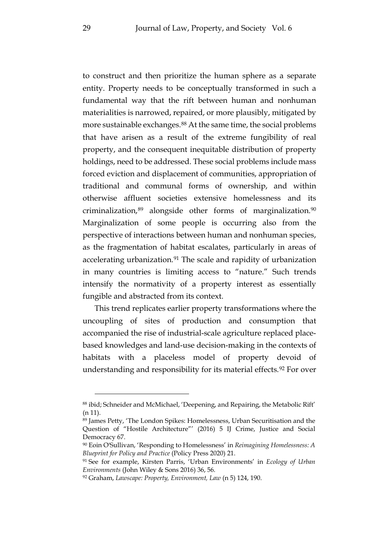to construct and then prioritize the human sphere as a separate entity. Property needs to be conceptually transformed in such a fundamental way that the rift between human and nonhuman materialities is narrowed, repaired, or more plausibly, mitigated by more sustainable exchanges.[88](#page-30-0) At the same time, the social problems that have arisen as a result of the extreme fungibility of real property, and the consequent inequitable distribution of property holdings, need to be addressed. These social problems include mass forced eviction and displacement of communities, appropriation of traditional and communal forms of ownership, and within otherwise affluent societies extensive homelessness and its criminalization,[89](#page-30-1) alongside other forms of marginalization[.90](#page-30-2) Marginalization of some people is occurring also from the perspective of interactions between human and nonhuman species, as the fragmentation of habitat escalates, particularly in areas of accelerating urbanization.<sup>[91](#page-30-3)</sup> The scale and rapidity of urbanization in many countries is limiting access to "nature." Such trends intensify the normativity of a property interest as essentially fungible and abstracted from its context.

This trend replicates earlier property transformations where the uncoupling of sites of production and consumption that accompanied the rise of industrial-scale agriculture replaced placebased knowledges and land-use decision-making in the contexts of habitats with a placeless model of property devoid of understanding and responsibility for its material effects.<sup>[92](#page-30-4)</sup> For over

<span id="page-30-0"></span><sup>88</sup> ibid; Schneider and McMichael, 'Deepening, and Repairing, the Metabolic Rift'  $(n 11)$  $(n 11)$ .

<span id="page-30-1"></span><sup>89</sup> James Petty, 'The London Spikes: Homelessness, Urban Securitisation and the Question of "Hostile Architecture"' (2016) 5 IJ Crime, Justice and Social Democracy 67.

<span id="page-30-2"></span><sup>90</sup> Eoin O'Sullivan, 'Responding to Homelessness' in *Reimagining Homelessness: A Blueprint for Policy and Practice* (Policy Press 2020) 21.

<span id="page-30-3"></span><sup>91</sup> See for example, Kirsten Parris, 'Urban Environments' in *Ecology of Urban Environments* (John Wiley & Sons 2016) 36, 56.

<span id="page-30-4"></span><sup>92</sup> Graham, *Lawscape: Property, Environment, Law* (n [5\)](#page-4-5) 124, 190.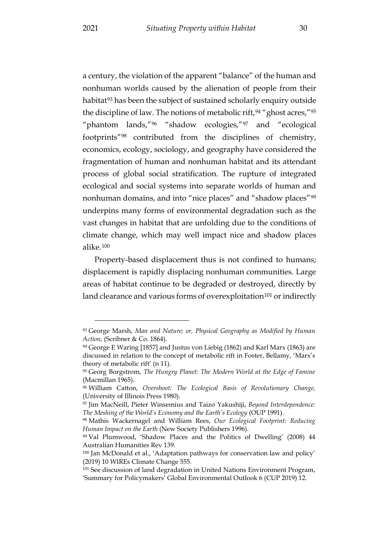a century, the violation of the apparent "balance" of the human and nonhuman worlds caused by the alienation of people from their habitat<sup>[93](#page-31-0)</sup> has been the subject of sustained scholarly enquiry outside the discipline of law. The notions of metabolic rift,  $94$  "ghost acres,"  $95$ " "phantom lands,"[96](#page-31-3) "shadow ecologies,"[97](#page-31-4) and "ecological footprints"[98](#page-31-5) contributed from the disciplines of chemistry, economics, ecology, sociology, and geography have considered the fragmentation of human and nonhuman habitat and its attendant process of global social stratification. The rupture of integrated ecological and social systems into separate worlds of human and nonhuman domains, and into "nice places" and "shadow places"[99](#page-31-6) underpins many forms of environmental degradation such as the vast changes in habitat that are unfolding due to the conditions of climate change, which may well impact nice and shadow places alike.[100](#page-31-7)

Property-based displacement thus is not confined to humans; displacement is rapidly displacing nonhuman communities. Large areas of habitat continue to be degraded or destroyed, directly by land clearance and various forms of overexploitation<sup>101</sup> or indirectly

<span id="page-31-0"></span><sup>93</sup> George Marsh, *Man and Nature; or, Physical Geography as Modified by Human Action,* (Scribner & Co. 1864).

<span id="page-31-1"></span><sup>94</sup> George E Waring [1857] and Justus von Liebig (1862) and Karl Marx (1863) are discussed in relation to the concept of metabolic rift in Foster, Bellamy, 'Marx's theory of metabolic rift' ([n 11\)](#page-7-1).

<span id="page-31-2"></span><sup>95</sup> Georg Borgstrom, *The Hungry Planet: The Modern World at the Edge of Famine*  (Macmillan 1965).

<span id="page-31-3"></span><sup>96</sup> William Catton, *Overshoot: The Ecological Basis of Revolutionary Change,*  (University of Illinois Press 1980).

<span id="page-31-4"></span><sup>97</sup> Jim MacNeill, Pieter Winsemius and Taizo Yakushiji, *Beyond Interdependence: The Meshing of the World's Economy and the Earth's Ecology* (OUP 1991).

<span id="page-31-5"></span><sup>98</sup> Mathis Wackernagel and William Rees, *Our Ecological Footprint: Reducing Human Impact on the Earth* (New Society Publishers 1996).

<span id="page-31-6"></span><sup>99</sup> Val Plumwood, 'Shadow Places and the Politics of Dwelling' (2008) 44 Australian Humanities Rev 139.

<span id="page-31-7"></span><sup>100</sup> Jan McDonald et al., 'Adaptation pathways for conservation law and policy' (2019) 10 WIREs Climate Change 555.

<span id="page-31-8"></span><sup>101</sup> See discussion of land degradation in United Nations Environment Program, 'Summary for Policymakers' Global Environmental Outlook 6 (CUP 2019) 12.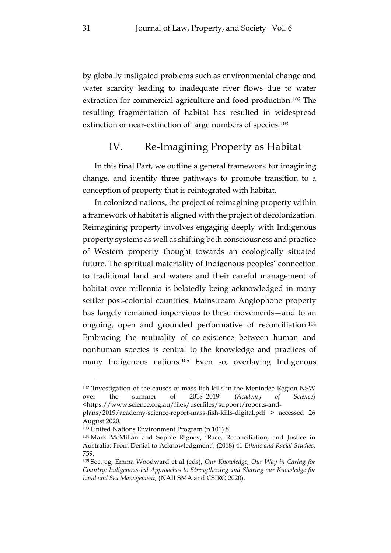by globally instigated problems such as environmental change and water scarcity leading to inadequate river flows due to water extraction for commercial agriculture and food production.[102](#page-32-1) The resulting fragmentation of habitat has resulted in widespread extinction or near-extinction of large numbers of species.<sup>[103](#page-32-2)</sup>

## <span id="page-32-0"></span>IV. Re-Imagining Property as Habitat

In this final Part, we outline a general framework for imagining change, and identify three pathways to promote transition to a conception of property that is reintegrated with habitat.

In colonized nations, the project of reimagining property within a framework of habitat is aligned with the project of decolonization. Reimagining property involves engaging deeply with Indigenous property systems as well as shifting both consciousness and practice of Western property thought towards an ecologically situated future. The spiritual materiality of Indigenous peoples' connection to traditional land and waters and their careful management of habitat over millennia is belatedly being acknowledged in many settler post-colonial countries. Mainstream Anglophone property has largely remained impervious to these movements—and to an ongoing, open and grounded performative of reconciliation[.104](#page-32-3) Embracing the mutuality of co-existence between human and nonhuman species is central to the knowledge and practices of many Indigenous nations.[105](#page-32-4) Even so, overlaying Indigenous

<span id="page-32-5"></span><span id="page-32-1"></span><sup>102</sup> 'Investigation of the causes of mass fish kills in the Menindee Region NSW over the summer of 2018–2019' (*Academy of Science*) <https://www.science.org.au/files/userfiles/support/reports-and-

plans/2019/academy-science-report-mass-fish-kills-digital.pdf > accessed 26 August 2020.

<span id="page-32-2"></span><sup>103</sup> United Nations Environment Program (n 101) 8.

<span id="page-32-3"></span><sup>104</sup> Mark McMillan and Sophie Rigney, 'Race, Reconciliation, and Justice in Australia: From Denial to Acknowledgment', (2018) 41 *Ethnic and Racial Studies*, 759.

<span id="page-32-4"></span><sup>105</sup> See, eg, Emma Woodward et al (eds), *Our Knowledge, Our Way in Caring for Country: Indigenous-led Approaches to Strengthening and Sharing our Knowledge for Land and Sea Management*, (NAILSMA and CSIRO 2020).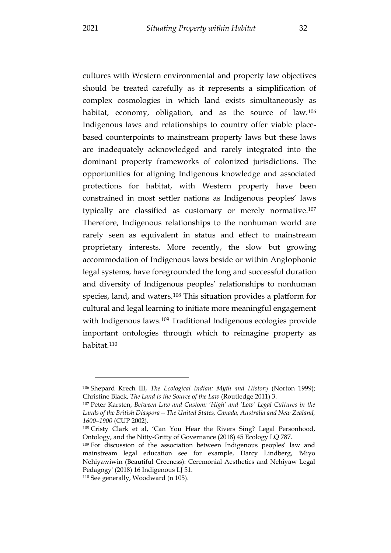<span id="page-33-5"></span>cultures with Western environmental and property law objectives should be treated carefully as it represents a simplification of complex cosmologies in which land exists simultaneously as habitat, economy, obligation, and as the source of law.<sup>[106](#page-33-0)</sup> Indigenous laws and relationships to country offer viable placebased counterpoints to mainstream property laws but these laws are inadequately acknowledged and rarely integrated into the dominant property frameworks of colonized jurisdictions. The opportunities for aligning Indigenous knowledge and associated protections for habitat, with Western property have been constrained in most settler nations as Indigenous peoples' laws typically are classified as customary or merely normative[.107](#page-33-1) Therefore, Indigenous relationships to the nonhuman world are rarely seen as equivalent in status and effect to mainstream proprietary interests. More recently, the slow but growing accommodation of Indigenous laws beside or within Anglophonic legal systems, have foregrounded the long and successful duration and diversity of Indigenous peoples' relationships to nonhuman species, land, and waters.[108](#page-33-2) This situation provides a platform for cultural and legal learning to initiate more meaningful engagement with Indigenous laws.<sup>[109](#page-33-3)</sup> Traditional Indigenous ecologies provide important ontologies through which to reimagine property as habitat.[110](#page-33-4)

<span id="page-33-0"></span><sup>106</sup> Shepard Krech III, *The Ecological Indian: Myth and History* (Norton 1999); Christine Black, *The Land is the Source of the Law* (Routledge 2011) 3.

<span id="page-33-1"></span><sup>107</sup> Peter Karsten, *Between Law and Custom: 'High' and 'Low' Legal Cultures in the Lands of the British Diaspora—The United States, Canada, Australia and New Zealand, 1600–1900* (CUP 2002).

<span id="page-33-2"></span><sup>108</sup> Cristy Clark et al, 'Can You Hear the Rivers Sing? Legal Personhood, Ontology, and the Nitty-Gritty of Governance (2018) 45 Ecology LQ 787.

<span id="page-33-3"></span><sup>109</sup> For discussion of the association between Indigenous peoples' law and mainstream legal education see for example, Darcy Lindberg, 'Miyo Nehiyawiwin (Beautiful Creeness): Ceremonial Aesthetics and Nehiyaw Legal Pedagogy' (2018) 16 Indigenous LJ 51.

<span id="page-33-4"></span><sup>110</sup> See generally, Woodward (n [105\)](#page-32-5).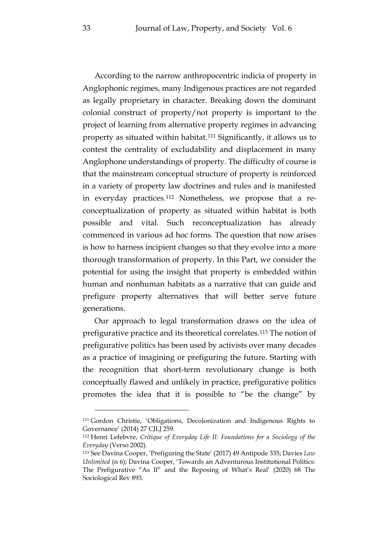According to the narrow anthropocentric indicia of property in Anglophonic regimes, many Indigenous practices are not regarded as legally proprietary in character. Breaking down the dominant colonial construct of property/not property is important to the project of learning from alternative property regimes in advancing property as situated within habitat.[111](#page-34-0) Significantly, it allows us to contest the centrality of excludability and displacement in many Anglophone understandings of property. The difficulty of course is that the mainstream conceptual structure of property is reinforced in a variety of property law doctrines and rules and is manifested in everyday practices.[112](#page-34-1) Nonetheless, we propose that a reconceptualization of property as situated within habitat is both possible and vital. Such reconceptualization has already commenced in various ad hoc forms. The question that now arises is how to harness incipient changes so that they evolve into a more thorough transformation of property. In this Part, we consider the potential for using the insight that property is embedded within human and nonhuman habitats as a narrative that can guide and prefigure property alternatives that will better serve future generations.

Our approach to legal transformation draws on the idea of prefigurative practice and its theoretical correlates.[113](#page-34-2) The notion of prefigurative politics has been used by activists over many decades as a practice of imagining or prefiguring the future. Starting with the recognition that short-term revolutionary change is both conceptually flawed and unlikely in practice, prefigurative politics promotes the idea that it is possible to "be the change" by

<span id="page-34-0"></span><sup>111</sup> Gordon Christie, 'Obligations, Decolonization and Indigenous Rights to Governance' (2014) 27 CJLJ 259.

<span id="page-34-1"></span><sup>112</sup> Henri Lefebvre, *Critique of Everyday Life II: Foundations for a Sociology of the Everyday* (Verso 2002).

<span id="page-34-2"></span><sup>113</sup> See Davina Cooper, 'Prefiguring the State' (2017) 49 Antipode 335; Davies *Law Unlimited* (n [6\)](#page-5-1); Davina Cooper, 'Towards an Adventurous Institutional Politics: The Prefigurative "As If" and the Reposing of What's Real' (2020) 68 The Sociological Rev 893.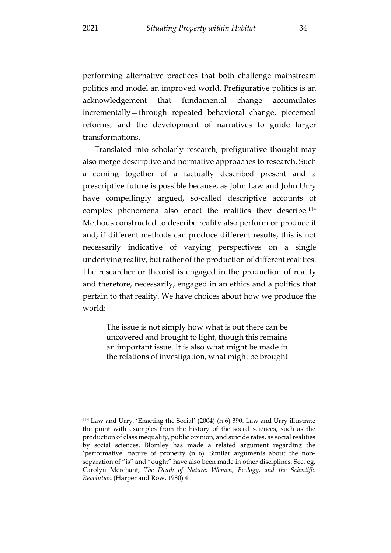performing alternative practices that both challenge mainstream politics and model an improved world. Prefigurative politics is an acknowledgement that fundamental change accumulates incrementally—through repeated behavioral change, piecemeal reforms, and the development of narratives to guide larger transformations.

Translated into scholarly research, prefigurative thought may also merge descriptive and normative approaches to research. Such a coming together of a factually described present and a prescriptive future is possible because, as John Law and John Urry have compellingly argued, so-called descriptive accounts of complex phenomena also enact the realities they describe[.114](#page-35-0) Methods constructed to describe reality also perform or produce it and, if different methods can produce different results, this is not necessarily indicative of varying perspectives on a single underlying reality, but rather of the production of different realities. The researcher or theorist is engaged in the production of reality and therefore, necessarily, engaged in an ethics and a politics that pertain to that reality. We have choices about how we produce the world:

The issue is not simply how what is out there can be uncovered and brought to light, though this remains an important issue. It is also what might be made in the relations of investigation, what might be brought

<span id="page-35-0"></span><sup>114</sup> Law and Urry, 'Enacting the Social' (2004) (n [6\)](#page-5-1) 390. Law and Urry illustrate the point with examples from the history of the social sciences, such as the production of class inequality, public opinion, and suicide rates, as social realities by social sciences. Blomley has made a related argument regarding the 'performative' nature of property (n [6\)](#page-5-1). Similar arguments about the nonseparation of "is" and "ought" have also been made in other disciplines. See, eg, Carolyn Merchant, *The Death of Nature: Women, Ecology, and the Scientific Revolution* (Harper and Row, 1980) 4.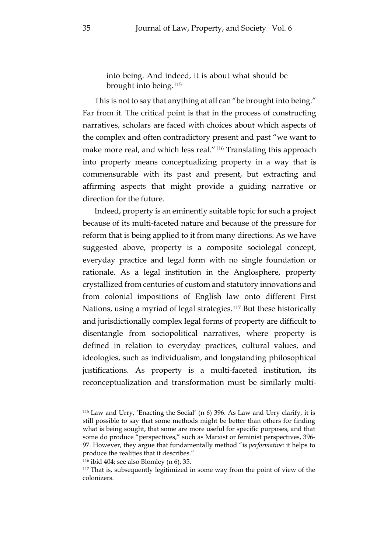into being. And indeed, it is about what should be brought into being.[115](#page-36-0)

This is not to say that anything at all can "be brought into being." Far from it. The critical point is that in the process of constructing narratives, scholars are faced with choices about which aspects of the complex and often contradictory present and past "we want to make more real, and which less real."[116](#page-36-1) Translating this approach into property means conceptualizing property in a way that is commensurable with its past and present, but extracting and affirming aspects that might provide a guiding narrative or direction for the future.

Indeed, property is an eminently suitable topic for such a project because of its multi-faceted nature and because of the pressure for reform that is being applied to it from many directions. As we have suggested above, property is a composite sociolegal concept, everyday practice and legal form with no single foundation or rationale. As a legal institution in the Anglosphere, property crystallized from centuries of custom and statutory innovations and from colonial impositions of English law onto different First Nations, using a myriad of legal strategies.[117](#page-36-2) But these historically and jurisdictionally complex legal forms of property are difficult to disentangle from sociopolitical narratives, where property is defined in relation to everyday practices, cultural values, and ideologies, such as individualism, and longstanding philosophical justifications. As property is a multi-faceted institution, its reconceptualization and transformation must be similarly multi-

<span id="page-36-0"></span><sup>115</sup> Law and Urry, 'Enacting the Social' (n [6\)](#page-5-1) 396. As Law and Urry clarify, it is still possible to say that some methods might be better than others for finding what is being sought, that some are more useful for specific purposes, and that some do produce "perspectives," such as Marxist or feminist perspectives, 396- 97. However, they argue that fundamentally method "is *performative*: it helps to produce the realities that it describes."

<span id="page-36-1"></span><sup>116</sup> ibid 404; see also Blomley (n [6\)](#page-5-1), 35.

<span id="page-36-2"></span><sup>117</sup> That is, subsequently legitimized in some way from the point of view of the colonizers.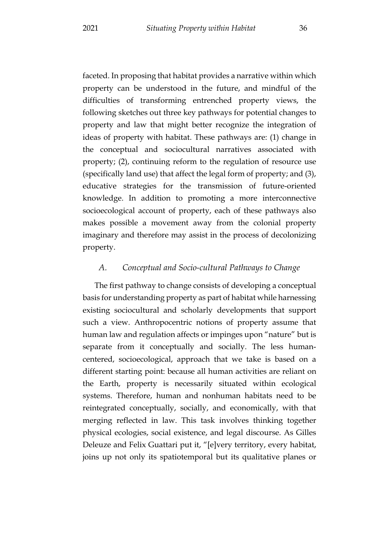faceted. In proposing that habitat provides a narrative within which property can be understood in the future, and mindful of the difficulties of transforming entrenched property views, the following sketches out three key pathways for potential changes to property and law that might better recognize the integration of ideas of property with habitat. These pathways are: (1) change in the conceptual and sociocultural narratives associated with property; (2), continuing reform to the regulation of resource use (specifically land use) that affect the legal form of property; and (3), educative strategies for the transmission of future-oriented knowledge. In addition to promoting a more interconnective socioecological account of property, each of these pathways also makes possible a movement away from the colonial property imaginary and therefore may assist in the process of decolonizing property.

#### <span id="page-37-0"></span>*A. Conceptual and Socio-cultural Pathways to Change*

The first pathway to change consists of developing a conceptual basis for understanding property as part of habitat while harnessing existing sociocultural and scholarly developments that support such a view. Anthropocentric notions of property assume that human law and regulation affects or impinges upon "nature" but is separate from it conceptually and socially. The less humancentered, socioecological, approach that we take is based on a different starting point: because all human activities are reliant on the Earth, property is necessarily situated within ecological systems. Therefore, human and nonhuman habitats need to be reintegrated conceptually, socially, and economically, with that merging reflected in law. This task involves thinking together physical ecologies, social existence, and legal discourse. As Gilles Deleuze and Felix Guattari put it, "[e]very territory, every habitat, joins up not only its spatiotemporal but its qualitative planes or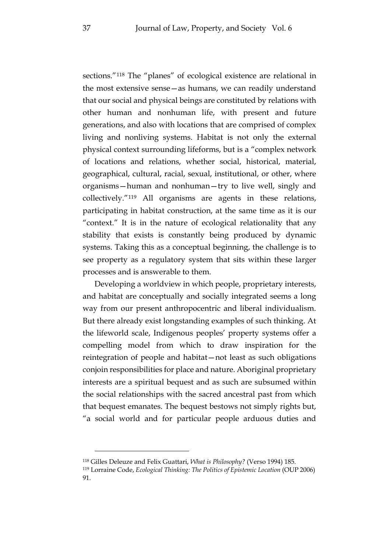sections."[118](#page-38-0) The "planes" of ecological existence are relational in the most extensive sense—as humans, we can readily understand that our social and physical beings are constituted by relations with other human and nonhuman life, with present and future generations, and also with locations that are comprised of complex living and nonliving systems. Habitat is not only the external physical context surrounding lifeforms, but is a "complex network of locations and relations, whether social, historical, material, geographical, cultural, racial, sexual, institutional, or other, where organisms—human and nonhuman—try to live well, singly and collectively."[119](#page-38-1) All organisms are agents in these relations, participating in habitat construction, at the same time as it is our "context." It is in the nature of ecological relationality that any stability that exists is constantly being produced by dynamic systems. Taking this as a conceptual beginning, the challenge is to see property as a regulatory system that sits within these larger processes and is answerable to them.

Developing a worldview in which people, proprietary interests, and habitat are conceptually and socially integrated seems a long way from our present anthropocentric and liberal individualism. But there already exist longstanding examples of such thinking. At the lifeworld scale, Indigenous peoples' property systems offer a compelling model from which to draw inspiration for the reintegration of people and habitat—not least as such obligations conjoin responsibilities for place and nature. Aboriginal proprietary interests are a spiritual bequest and as such are subsumed within the social relationships with the sacred ancestral past from which that bequest emanates. The bequest bestows not simply rights but, "a social world and for particular people arduous duties and

<span id="page-38-0"></span><sup>118</sup> Gilles Deleuze and Felix Guattari, *What is Philosophy?* (Verso 1994) 185.

<span id="page-38-1"></span><sup>119</sup> Lorraine Code, *Ecological Thinking: The Politics of Epistemic Location* (OUP 2006) 91.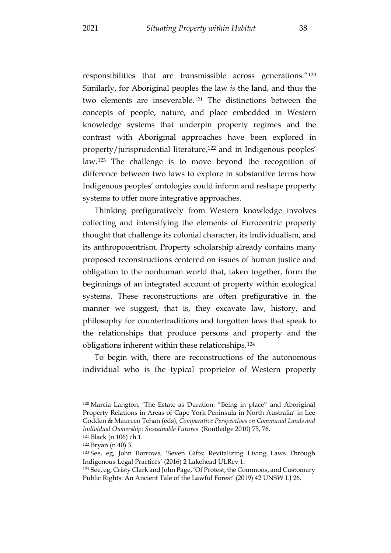responsibilities that are transmissible across generations.["120](#page-39-0) Similarly, for Aboriginal peoples the law *is* the land, and thus the two elements are inseverable.[121](#page-39-1) The distinctions between the concepts of people, nature, and place embedded in Western knowledge systems that underpin property regimes and the contrast with Aboriginal approaches have been explored in property/jurisprudential literature,[122](#page-39-2) and in Indigenous peoples' law.[123](#page-39-3) The challenge is to move beyond the recognition of difference between two laws to explore in substantive terms how Indigenous peoples' ontologies could inform and reshape property systems to offer more integrative approaches.

Thinking prefiguratively from Western knowledge involves collecting and intensifying the elements of Eurocentric property thought that challenge its colonial character, its individualism, and its anthropocentrism. Property scholarship already contains many proposed reconstructions centered on issues of human justice and obligation to the nonhuman world that, taken together, form the beginnings of an integrated account of property within ecological systems. These reconstructions are often prefigurative in the manner we suggest, that is, they excavate law, history, and philosophy for countertraditions and forgotten laws that speak to the relationships that produce persons and property and the obligations inherent within these relationships.[124](#page-39-4)

To begin with, there are reconstructions of the autonomous individual who is the typical proprietor of Western property

<span id="page-39-0"></span><sup>120</sup> Marcia Langton, 'The Estate as Duration: "Being in place" and Aboriginal Property Relations in Areas of Cape York Peninsula in North Australia' in Lee Godden & Maureen Tehan (eds), *Comparative Perspectives on Communal Lands and Individual Ownership: Sustainable Futures* (Routledge 2010) 75, 76.

<span id="page-39-2"></span><span id="page-39-1"></span><sup>121</sup> Black (n [106\)](#page-33-5) ch 1. <sup>122</sup> Bryan (n [40\)](#page-15-4) 3.

<span id="page-39-3"></span><sup>123</sup> See, eg, John Borrows, 'Seven Gifts: Revitalizing Living Laws Through Indigenous Legal Practices' (2016) 2 Lakehead ULRev 1.

<span id="page-39-4"></span><sup>124</sup> See, eg, Cristy Clark and John Page, 'Of Protest, the Commons, and Customary Public Rights: An Ancient Tale of the Lawful Forest' (2019) 42 UNSW LJ 26.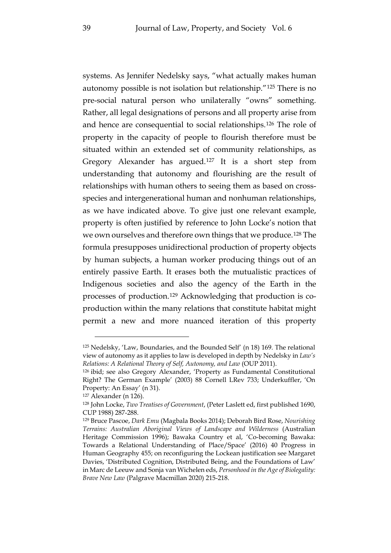<span id="page-40-0"></span>systems. As Jennifer Nedelsky says, "what actually makes human autonomy possible is not isolation but relationship."[125](#page-40-1) There is no pre-social natural person who unilaterally "owns" something. Rather, all legal designations of persons and all property arise from and hence are consequential to social relationships.[126](#page-40-2) The role of property in the capacity of people to flourish therefore must be situated within an extended set of community relationships, as Gregory Alexander has argued.[127](#page-40-3) It is a short step from understanding that autonomy and flourishing are the result of relationships with human others to seeing them as based on crossspecies and intergenerational human and nonhuman relationships, as we have indicated above. To give just one relevant example, property is often justified by reference to John Locke's notion that we own ourselves and therefore own things that we produce.[128](#page-40-4) The formula presupposes unidirectional production of property objects by human subjects, a human worker producing things out of an entirely passive Earth. It erases both the mutualistic practices of Indigenous societies and also the agency of the Earth in the processes of production.[129](#page-40-5) Acknowledging that production is coproduction within the many relations that constitute habitat might permit a new and more nuanced iteration of this property

<span id="page-40-1"></span><sup>125</sup> Nedelsky, 'Law, Boundaries, and the Bounded Self' (n [18\)](#page-9-5) 169. The relational view of autonomy as it applies to law is developed in depth by Nedelsky in *Law's Relations: A Relational Theory of Self, Autonomy, and Law* (OUP 2011).

<span id="page-40-2"></span><sup>126</sup> ibid; see also Gregory Alexander, 'Property as Fundamental Constitutional Right? The German Example' (2003) 88 Cornell LRev 733; Underkuffler, 'On Property: An Essay' (n [31\)](#page-13-4).

<span id="page-40-3"></span><sup>127</sup> Alexander ([n 126\)](#page-40-0).

<span id="page-40-4"></span><sup>128</sup> John Locke, *Two Treatises of Government*, (Peter Laslett ed, first published 1690, CUP 1988) 287-288.

<span id="page-40-5"></span><sup>129</sup> Bruce Pascoe, *Dark Emu* (Magbala Books 2014); Deborah Bird Rose, *Nourishing Terrains: Australian Aboriginal Views of Landscape and Wilderness* (Australian Heritage Commission 1996); Bawaka Country et al, 'Co-becoming Bawaka: Towards a Relational Understanding of Place/Space' (2016) 40 Progress in Human Geography 455; on reconfiguring the Lockean justification see Margaret Davies, 'Distributed Cognition, Distributed Being, and the Foundations of Law' in Marc de Leeuw and Sonja van Wichelen eds, *Personhood in the Age of Biolegality: Brave New Law* (Palgrave Macmillan 2020) 215-218.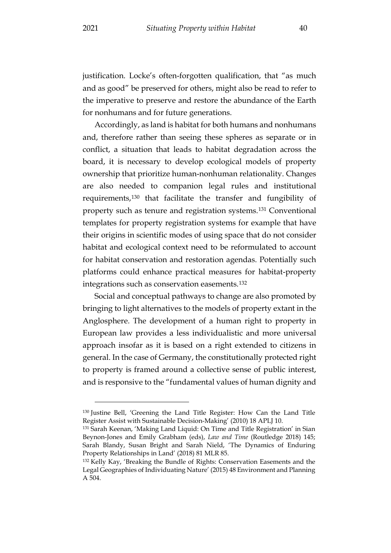justification. Locke's often-forgotten qualification, that "as much and as good" be preserved for others, might also be read to refer to the imperative to preserve and restore the abundance of the Earth for nonhumans and for future generations.

Accordingly, as land is habitat for both humans and nonhumans and, therefore rather than seeing these spheres as separate or in conflict, a situation that leads to habitat degradation across the board, it is necessary to develop ecological models of property ownership that prioritize human-nonhuman relationality. Changes are also needed to companion legal rules and institutional requirements,[130](#page-41-0) that facilitate the transfer and fungibility of property such as tenure and registration systems.[131](#page-41-1) Conventional templates for property registration systems for example that have their origins in scientific modes of using space that do not consider habitat and ecological context need to be reformulated to account for habitat conservation and restoration agendas. Potentially such platforms could enhance practical measures for habitat-property integrations such as conservation easements.[132](#page-41-2)

Social and conceptual pathways to change are also promoted by bringing to light alternatives to the models of property extant in the Anglosphere. The development of a human right to property in European law provides a less individualistic and more universal approach insofar as it is based on a right extended to citizens in general. In the case of Germany, the constitutionally protected right to property is framed around a collective sense of public interest, and is responsive to the "fundamental values of human dignity and

<span id="page-41-0"></span><sup>130</sup> Justine Bell, 'Greening the Land Title Register: How Can the Land Title Register Assist with Sustainable Decision-Making' (2010) 18 APLJ 10.

<span id="page-41-1"></span><sup>131</sup> Sarah Keenan, 'Making Land Liquid: On Time and Title Registration' in Sian Beynon-Jones and Emily Grabham (eds), *Law and Time* (Routledge 2018) 145; Sarah Blandy, Susan Bright and Sarah Nield, 'The Dynamics of Enduring Property Relationships in Land' (2018) 81 MLR 85.

<span id="page-41-2"></span><sup>132</sup> Kelly Kay, 'Breaking the Bundle of Rights: Conservation Easements and the Legal Geographies of Individuating Nature' (2015) 48 Environment and Planning A 504.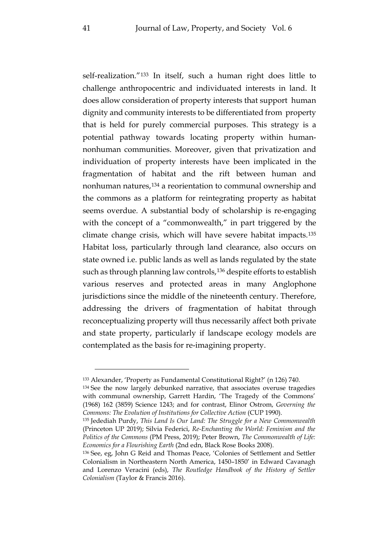self-realization."[133](#page-42-0) In itself, such a human right does little to challenge anthropocentric and individuated interests in land. It does allow consideration of property interests that support human dignity and community interests to be differentiated from property that is held for purely commercial purposes. This strategy is a potential pathway towards locating property within humannonhuman communities. Moreover, given that privatization and individuation of property interests have been implicated in the fragmentation of habitat and the rift between human and nonhuman natures,[134](#page-42-1) a reorientation to communal ownership and the commons as a platform for reintegrating property as habitat seems overdue. A substantial body of scholarship is re-engaging with the concept of a "commonwealth," in part triggered by the climate change crisis, which will have severe habitat impacts.[135](#page-42-2) Habitat loss, particularly through land clearance, also occurs on state owned i.e. public lands as well as lands regulated by the state such as through planning law controls,<sup>[136](#page-42-3)</sup> despite efforts to establish various reserves and protected areas in many Anglophone jurisdictions since the middle of the nineteenth century. Therefore, addressing the drivers of fragmentation of habitat through reconceptualizing property will thus necessarily affect both private and state property, particularly if landscape ecology models are contemplated as the basis for re-imagining property.

<span id="page-42-0"></span><sup>133</sup> Alexander, 'Property as Fundamental Constitutional Right?' (n [126\)](#page-40-0) 740.

<span id="page-42-1"></span><sup>&</sup>lt;sup>134</sup> See the now largely debunked narrative, that associates overuse tragedies with communal ownership, Garrett Hardin, 'The Tragedy of the Commons' (1968) 162 (3859) Science 1243; and for contrast, Elinor Ostrom, *Governing the Commons: The Evolution of Institutions for Collective Action* (CUP 1990).

<span id="page-42-2"></span><sup>135</sup> Jedediah Purdy, *This Land Is Our Land: The Struggle for a New Commonwealth* (Princeton UP 2019); Silvia Federici, *Re-Enchanting the World: Feminism and the Politics of the Commons* (PM Press, 2019); Peter Brown, *The Commonwealth of Life: Economics for a Flourishing Earth* (2nd edn, Black Rose Books 2008).

<span id="page-42-3"></span><sup>136</sup> See, eg, John G Reid and Thomas Peace, 'Colonies of Settlement and Settler Colonialism in Northeastern North America, 1450–1850' in Edward Cavanagh and Lorenzo Veracini (eds), *The Routledge Handbook of the History of Settler Colonialism* (Taylor & Francis 2016).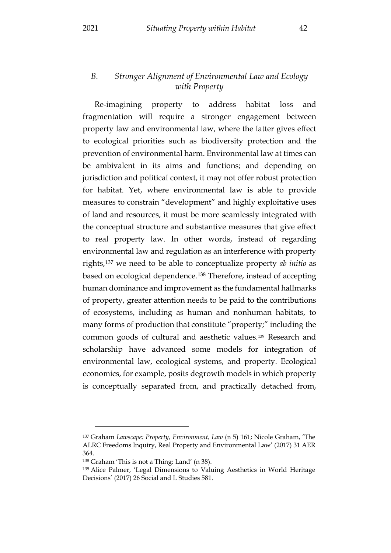#### <span id="page-43-0"></span>*B. Stronger Alignment of Environmental Law and Ecology with Property*

Re-imagining property to address habitat loss and fragmentation will require a stronger engagement between property law and environmental law, where the latter gives effect to ecological priorities such as biodiversity protection and the prevention of environmental harm. Environmental law at times can be ambivalent in its aims and functions; and depending on jurisdiction and political context, it may not offer robust protection for habitat. Yet, where environmental law is able to provide measures to constrain "development" and highly exploitative uses of land and resources, it must be more seamlessly integrated with the conceptual structure and substantive measures that give effect to real property law. In other words, instead of regarding environmental law and regulation as an interference with property rights,[137](#page-43-1) we need to be able to conceptualize property *ab initio* as based on ecological dependence.[138](#page-43-2) Therefore, instead of accepting human dominance and improvement as the fundamental hallmarks of property, greater attention needs to be paid to the contributions of ecosystems, including as human and nonhuman habitats, to many forms of production that constitute "property;" including the common goods of cultural and aesthetic values.[139](#page-43-3) Research and scholarship have advanced some models for integration of environmental law, ecological systems, and property. Ecological economics, for example, posits degrowth models in which property is conceptually separated from, and practically detached from,

<span id="page-43-1"></span><sup>137</sup> Graham *Lawscape: Property, Environment, Law* (n 5) 161; Nicole Graham, 'The ALRC Freedoms Inquiry, Real Property and Environmental Law' (2017) 31 AER 364.

<span id="page-43-2"></span><sup>138</sup> Graham 'This is not a Thing: Land' (n [38\)](#page-15-5).

<span id="page-43-3"></span><sup>139</sup> Alice Palmer, 'Legal Dimensions to Valuing Aesthetics in World Heritage Decisions' (2017) 26 Social and L Studies 581.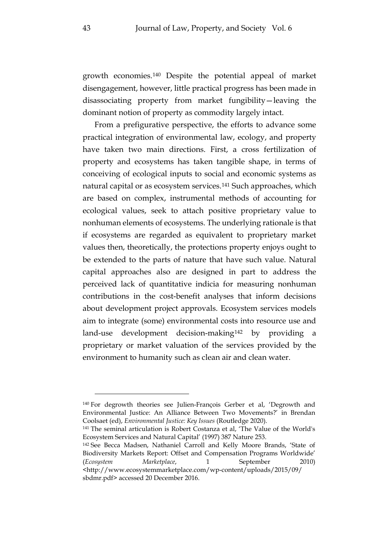growth economies.[140](#page-44-0) Despite the potential appeal of market disengagement, however, little practical progress has been made in disassociating property from market fungibility—leaving the dominant notion of property as commodity largely intact.

From a prefigurative perspective, the efforts to advance some practical integration of environmental law, ecology, and property have taken two main directions. First, a cross fertilization of property and ecosystems has taken tangible shape, in terms of conceiving of ecological inputs to social and economic systems as natural capital or as ecosystem services.[141](#page-44-1) Such approaches, which are based on complex, instrumental methods of accounting for ecological values, seek to attach positive proprietary value to nonhuman elements of ecosystems. The underlying rationale is that if ecosystems are regarded as equivalent to proprietary market values then, theoretically, the protections property enjoys ought to be extended to the parts of nature that have such value. Natural capital approaches also are designed in part to address the perceived lack of quantitative indicia for measuring nonhuman contributions in the cost-benefit analyses that inform decisions about development project approvals. Ecosystem services models aim to integrate (some) environmental costs into resource use and land-use development decision-making[142](#page-44-2) by providing a proprietary or market valuation of the services provided by the environment to humanity such as clean air and clean water.

<span id="page-44-0"></span><sup>140</sup> For degrowth theories see Julien-François Gerber et al, 'Degrowth and Environmental Justice: An Alliance Between Two Movements?' in Brendan Coolsaet (ed), *Environmental Justice: Key Issues* (Routledge 2020).

<span id="page-44-1"></span><sup>141</sup> The seminal articulation is Robert Costanza et al, 'The Value of the World's Ecosystem Services and Natural Capital' (1997) 387 Nature 253.

<span id="page-44-2"></span><sup>142</sup> See Becca Madsen, Nathaniel Carroll and Kelly Moore Brands, 'State of Biodiversity Markets Report: Offset and Compensation Programs Worldwide' (*Ecosystem Marketplace*, 1 September 2010) <http://www.ecosystemmarketplace.com/wp-content/uploads/2015/09/ sbdmr.pdf> accessed 20 December 2016.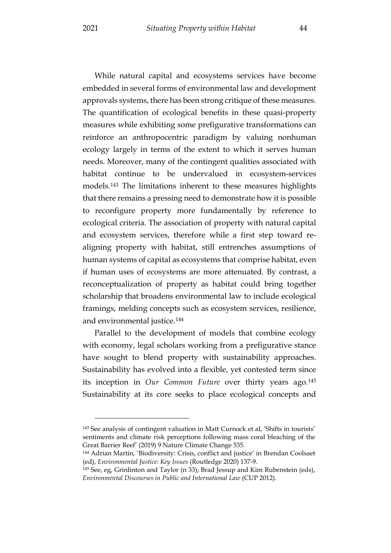While natural capital and ecosystems services have become embedded in several forms of environmental law and development approvals systems, there has been strong critique of these measures. The quantification of ecological benefits in these quasi-property measures while exhibiting some prefigurative transformations can reinforce an anthropocentric paradigm by valuing nonhuman ecology largely in terms of the extent to which it serves human needs. Moreover, many of the contingent qualities associated with habitat continue to be undervalued in ecosystem-services models.[143](#page-45-0) The limitations inherent to these measures highlights that there remains a pressing need to demonstrate how it is possible to reconfigure property more fundamentally by reference to ecological criteria. The association of property with natural capital and ecosystem services, therefore while a first step toward realigning property with habitat, still entrenches assumptions of human systems of capital as ecosystems that comprise habitat, even if human uses of ecosystems are more attenuated. By contrast, a reconceptualization of property as habitat could bring together scholarship that broadens environmental law to include ecological framings, melding concepts such as ecosystem services, resilience, and environmental justice[.144](#page-45-1)

Parallel to the development of models that combine ecology with economy, legal scholars working from a prefigurative stance have sought to blend property with sustainability approaches. Sustainability has evolved into a flexible, yet contested term since its inception in *Our Common Future* over thirty years ago[.145](#page-45-2) Sustainability at its core seeks to place ecological concepts and

<span id="page-45-0"></span><sup>143</sup> See analysis of contingent valuation in Matt Curnock et al, 'Shifts in tourists' sentiments and climate risk perceptions following mass coral bleaching of the Great Barrier Reef' (2019) 9 Nature Climate Change 535.

<span id="page-45-1"></span><sup>144</sup> Adrian Martin, 'Biodiversity: Crisis, conflict and justice' in Brendan Coolsaet (ed), *Environmental Justice: Key Issues* (Routledge 2020) 137-9.

<span id="page-45-2"></span><sup>145</sup> See, eg, Grinlinton and Taylor (n 33); Brad Jessup and Kim Rubenstein (eds), *Environmental Discourses in Public and International Law* (CUP 2012).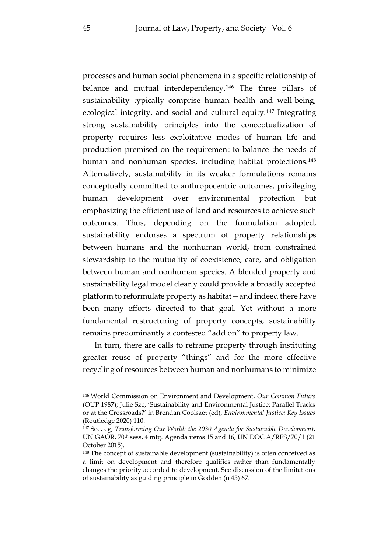processes and human social phenomena in a specific relationship of balance and mutual interdependency.[146](#page-46-0) The three pillars of sustainability typically comprise human health and well-being, ecological integrity, and social and cultural equity[.147](#page-46-1) Integrating strong sustainability principles into the conceptualization of property requires less exploitative modes of human life and production premised on the requirement to balance the needs of human and nonhuman species, including habitat protections.<sup>[148](#page-46-2)</sup> Alternatively, sustainability in its weaker formulations remains conceptually committed to anthropocentric outcomes, privileging human development over environmental protection but emphasizing the efficient use of land and resources to achieve such outcomes. Thus, depending on the formulation adopted, sustainability endorses a spectrum of property relationships between humans and the nonhuman world, from constrained stewardship to the mutuality of coexistence, care, and obligation between human and nonhuman species. A blended property and sustainability legal model clearly could provide a broadly accepted platform to reformulate property as habitat—and indeed there have been many efforts directed to that goal. Yet without a more fundamental restructuring of property concepts, sustainability remains predominantly a contested "add on" to property law.

In turn, there are calls to reframe property through instituting greater reuse of property "things" and for the more effective recycling of resources between human and nonhumans to minimize

<span id="page-46-0"></span><sup>146</sup> World Commission on Environment and Development, *Our Common Future* (OUP 1987); Julie Sze, 'Sustainability and Environmental Justice: Parallel Tracks or at the Crossroads?' in Brendan Coolsaet (ed), *Environmental Justice: Key Issues* (Routledge 2020) 110.

<span id="page-46-1"></span><sup>147</sup> See, eg, *Transforming Our World: the 2030 Agenda for Sustainable Development*, UN GAOR, 70th sess, 4 mtg. Agenda items 15 and 16, UN DOC A/RES/70/1 (21 October 2015).

<span id="page-46-2"></span><sup>148</sup> The concept of sustainable development (sustainability) is often conceived as a limit on development and therefore qualifies rather than fundamentally changes the priority accorded to development. See discussion of the limitations of sustainability as guiding principle in Godden (n [45\)](#page-18-4) 67.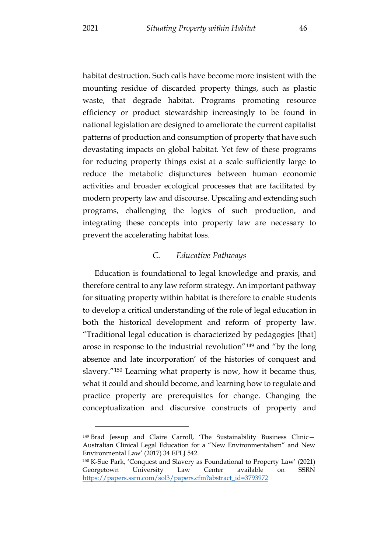habitat destruction. Such calls have become more insistent with the mounting residue of discarded property things, such as plastic waste, that degrade habitat. Programs promoting resource efficiency or product stewardship increasingly to be found in national legislation are designed to ameliorate the current capitalist patterns of production and consumption of property that have such devastating impacts on global habitat. Yet few of these programs for reducing property things exist at a scale sufficiently large to reduce the metabolic disjunctures between human economic activities and broader ecological processes that are facilitated by modern property law and discourse. Upscaling and extending such programs, challenging the logics of such production, and integrating these concepts into property law are necessary to prevent the accelerating habitat loss.

#### *C. Educative Pathways*

<span id="page-47-0"></span>Education is foundational to legal knowledge and praxis, and therefore central to any law reform strategy. An important pathway for situating property within habitat is therefore to enable students to develop a critical understanding of the role of legal education in both the historical development and reform of property law. "Traditional legal education is characterized by pedagogies [that] arose in response to the industrial revolution"[149](#page-47-1) and "by the long absence and late incorporation' of the histories of conquest and slavery."[150](#page-47-2) Learning what property is now, how it became thus, what it could and should become, and learning how to regulate and practice property are prerequisites for change. Changing the conceptualization and discursive constructs of property and

<span id="page-47-1"></span><sup>149</sup> Brad Jessup and Claire Carroll, 'The Sustainability Business Clinic— Australian Clinical Legal Education for a "New Environmentalism" and New Environmental Law' (2017) 34 EPLJ 542.

<span id="page-47-2"></span><sup>150</sup> K-Sue Park, 'Conquest and Slavery as Foundational to Property Law' (2021) Georgetown University Law Center available on SSRN [https://papers.ssrn.com/sol3/papers.cfm?abstract\\_id=3793972](https://papers.ssrn.com/sol3/papers.cfm?abstract_id=3793972)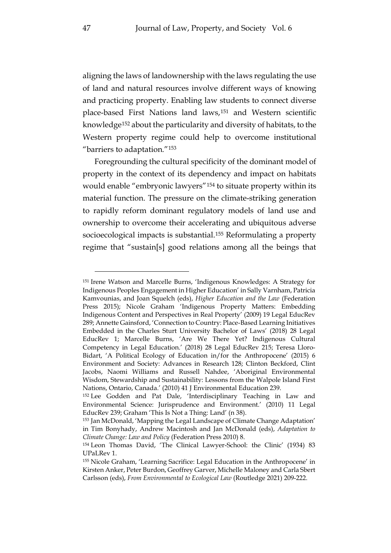aligning the laws of landownership with the laws regulating the use of land and natural resources involve different ways of knowing and practicing property. Enabling law students to connect diverse place-based First Nations land laws,[151](#page-48-0) and Western scientific knowledge[152](#page-48-1) about the particularity and diversity of habitats, to the Western property regime could help to overcome institutional "barriers to adaptation."[153](#page-48-2)

Foregrounding the cultural specificity of the dominant model of property in the context of its dependency and impact on habitats would enable "embryonic lawyers"[154](#page-48-3) to situate property within its material function. The pressure on the climate-striking generation to rapidly reform dominant regulatory models of land use and ownership to overcome their accelerating and ubiquitous adverse socioecological impacts is substantial.[155](#page-48-4) Reformulating a property regime that "sustain[s] good relations among all the beings that

<span id="page-48-0"></span><sup>151</sup> Irene Watson and Marcelle Burns, 'Indigenous Knowledges: A Strategy for Indigenous Peoples Engagement in Higher Education' in Sally Varnham, Patricia Kamvounias, and Joan Squelch (eds), *Higher Education and the Law* (Federation Press 2015); Nicole Graham 'Indigenous Property Matters: Embedding Indigenous Content and Perspectives in Real Property' (2009) 19 Legal EducRev 289; Annette Gainsford, 'Connection to Country: Place-Based Learning Initiatives Embedded in the Charles Sturt University Bachelor of Laws' (2018) 28 Legal EducRev 1; Marcelle Burns, 'Are We There Yet? Indigenous Cultural Competency in Legal Education.' (2018) 28 Legal EducRev 215; Teresa Lloro-Bidart, 'A Political Ecology of Education in/for the Anthropocene' (2015) 6 Environment and Society: Advances in Research 128; Clinton Beckford, Clint Jacobs, Naomi Williams and Russell Nahdee, 'Aboriginal Environmental Wisdom, Stewardship and Sustainability: Lessons from the Walpole Island First Nations, Ontario, Canada.' (2010) 41 J Environmental Education 239.

<span id="page-48-1"></span><sup>152</sup> Lee Godden and Pat Dale, 'Interdisciplinary Teaching in Law and Environmental Science: Jurisprudence and Environment.' (2010) 11 Legal EducRev 239; Graham 'This Is Not a Thing: Land' (n 38).

<span id="page-48-2"></span><sup>153</sup> Jan McDonald, 'Mapping the Legal Landscape of Climate Change Adaptation' in Tim Bonyhady, Andrew Macintosh and Jan McDonald (eds), *Adaptation to Climate Change: Law and Policy* (Federation Press 2010) 8.

<span id="page-48-3"></span><sup>154</sup> Leon Thomas David, 'The Clinical Lawyer-School: the Clinic' (1934) 83 UPaLRev 1.

<span id="page-48-4"></span><sup>155</sup> Nicole Graham, 'Learning Sacrifice: Legal Education in the Anthropocene' in Kirsten Anker, Peter Burdon, Geoffrey Garver, Michelle Maloney and Carla Sbert Carlsson (eds), *From Environmental to Ecological Law* (Routledge 2021) 209-222.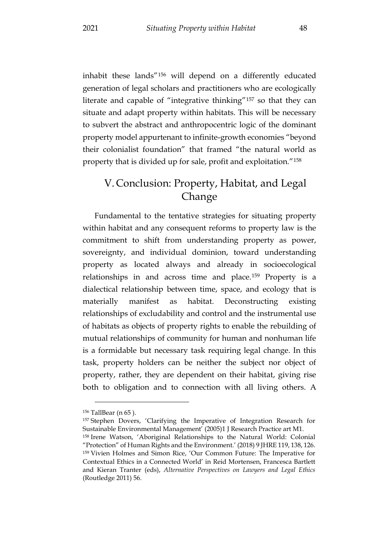inhabit these lands"[156](#page-49-1) will depend on a differently educated generation of legal scholars and practitioners who are ecologically literate and capable of "integrative thinking"[157](#page-49-2) so that they can situate and adapt property within habitats. This will be necessary to subvert the abstract and anthropocentric logic of the dominant property model appurtenant to infinite-growth economies "beyond their colonialist foundation" that framed "the natural world as property that is divided up for sale, profit and exploitation."[158](#page-49-3)

## <span id="page-49-0"></span>V. Conclusion: Property, Habitat, and Legal Change

Fundamental to the tentative strategies for situating property within habitat and any consequent reforms to property law is the commitment to shift from understanding property as power, sovereignty, and individual dominion, toward understanding property as located always and already in socioecological relationships in and across time and place.[159](#page-49-4) Property is a dialectical relationship between time, space, and ecology that is materially manifest as habitat. Deconstructing existing relationships of excludability and control and the instrumental use of habitats as objects of property rights to enable the rebuilding of mutual relationships of community for human and nonhuman life is a formidable but necessary task requiring legal change. In this task, property holders can be neither the subject nor object of property, rather, they are dependent on their habitat, giving rise both to obligation and to connection with all living others. A

<span id="page-49-1"></span><sup>156</sup> TallBear (n [65](#page-22-4) ).

<span id="page-49-2"></span><sup>157</sup> Stephen Dovers, 'Clarifying the Imperative of Integration Research for Sustainable Environmental Management' (2005)1 J Research Practice art M1.

<span id="page-49-4"></span><span id="page-49-3"></span><sup>158</sup> Irene Watson, 'Aboriginal Relationships to the Natural World: Colonial "Protection" of Human Rights and the Environment.' (2018) 9 JHRE 119, 138, 126. <sup>159</sup> Vivien Holmes and Simon Rice, 'Our Common Future: The Imperative for Contextual Ethics in a Connected World' in Reid Mortensen, Francesca Bartlett and Kieran Tranter (eds), *Alternative Perspectives on Lawyers and Legal Ethics*  (Routledge 2011) 56.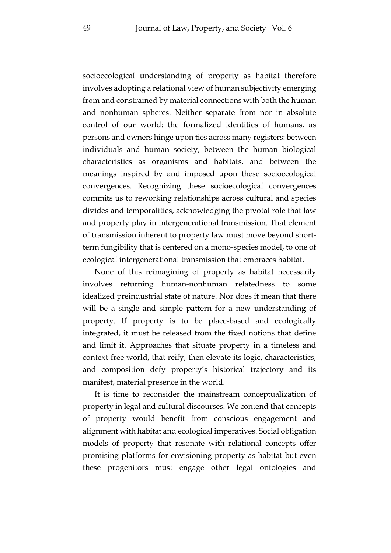socioecological understanding of property as habitat therefore involves adopting a relational view of human subjectivity emerging from and constrained by material connections with both the human and nonhuman spheres. Neither separate from nor in absolute control of our world: the formalized identities of humans, as persons and owners hinge upon ties across many registers: between individuals and human society, between the human biological characteristics as organisms and habitats, and between the meanings inspired by and imposed upon these socioecological convergences. Recognizing these socioecological convergences commits us to reworking relationships across cultural and species divides and temporalities, acknowledging the pivotal role that law and property play in intergenerational transmission. That element of transmission inherent to property law must move beyond shortterm fungibility that is centered on a mono-species model, to one of ecological intergenerational transmission that embraces habitat.

None of this reimagining of property as habitat necessarily involves returning human-nonhuman relatedness to some idealized preindustrial state of nature. Nor does it mean that there will be a single and simple pattern for a new understanding of property. If property is to be place-based and ecologically integrated, it must be released from the fixed notions that define and limit it. Approaches that situate property in a timeless and context-free world, that reify, then elevate its logic, characteristics, and composition defy property's historical trajectory and its manifest, material presence in the world.

It is time to reconsider the mainstream conceptualization of property in legal and cultural discourses. We contend that concepts of property would benefit from conscious engagement and alignment with habitat and ecological imperatives. Social obligation models of property that resonate with relational concepts offer promising platforms for envisioning property as habitat but even these progenitors must engage other legal ontologies and